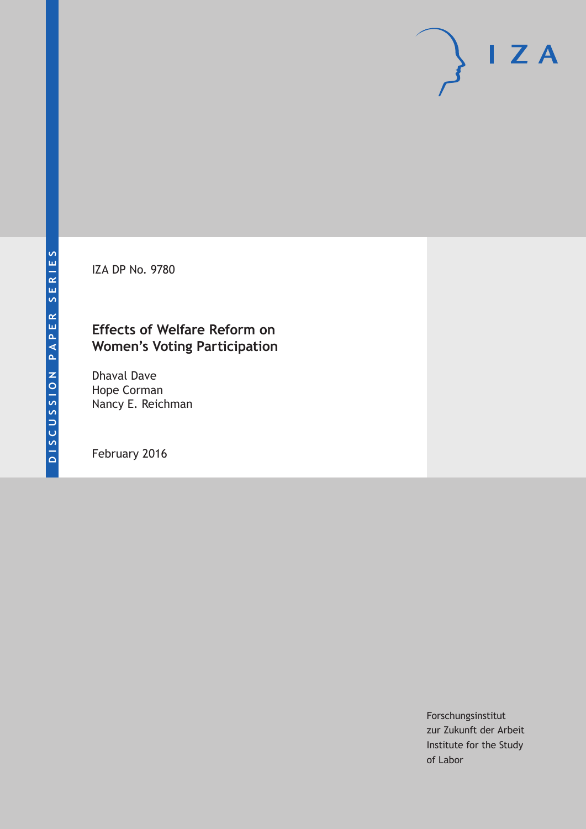IZA DP No. 9780

### **Effects of Welfare Reform on Women's Voting Participation**

Dhaval Dave Hope Corman Nancy E. Reichman

February 2016

Forschungsinstitut zur Zukunft der Arbeit Institute for the Study of Labor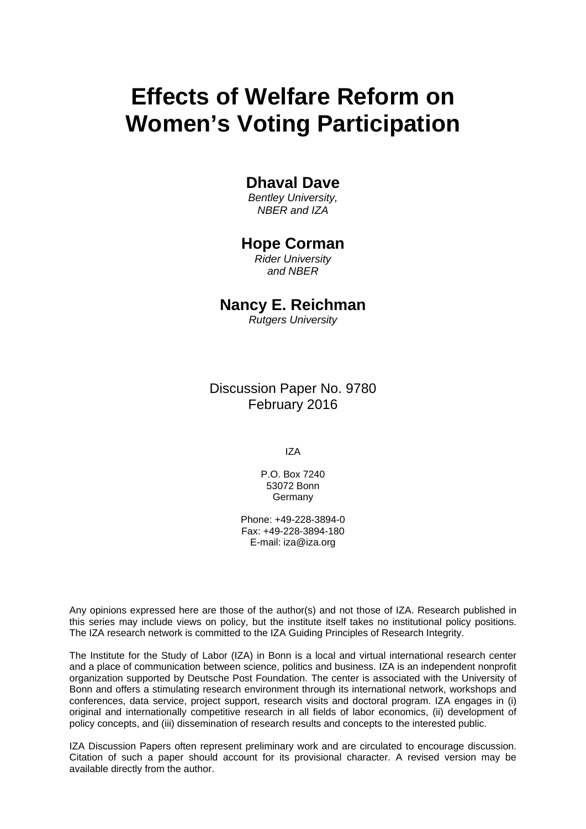# **Effects of Welfare Reform on Women's Voting Participation**

### **Dhaval Dave**

*Bentley University, NBER and IZA* 

### **Hope Corman**

*Rider University and NBER* 

## **Nancy E. Reichman**

*Rutgers University*

Discussion Paper No. 9780 February 2016

IZA

P.O. Box 7240 53072 Bonn Germany

Phone: +49-228-3894-0 Fax: +49-228-3894-180 E-mail: iza@iza.org

Any opinions expressed here are those of the author(s) and not those of IZA. Research published in this series may include views on policy, but the institute itself takes no institutional policy positions. The IZA research network is committed to the IZA Guiding Principles of Research Integrity.

The Institute for the Study of Labor (IZA) in Bonn is a local and virtual international research center and a place of communication between science, politics and business. IZA is an independent nonprofit organization supported by Deutsche Post Foundation. The center is associated with the University of Bonn and offers a stimulating research environment through its international network, workshops and conferences, data service, project support, research visits and doctoral program. IZA engages in (i) original and internationally competitive research in all fields of labor economics, (ii) development of policy concepts, and (iii) dissemination of research results and concepts to the interested public.

IZA Discussion Papers often represent preliminary work and are circulated to encourage discussion. Citation of such a paper should account for its provisional character. A revised version may be available directly from the author.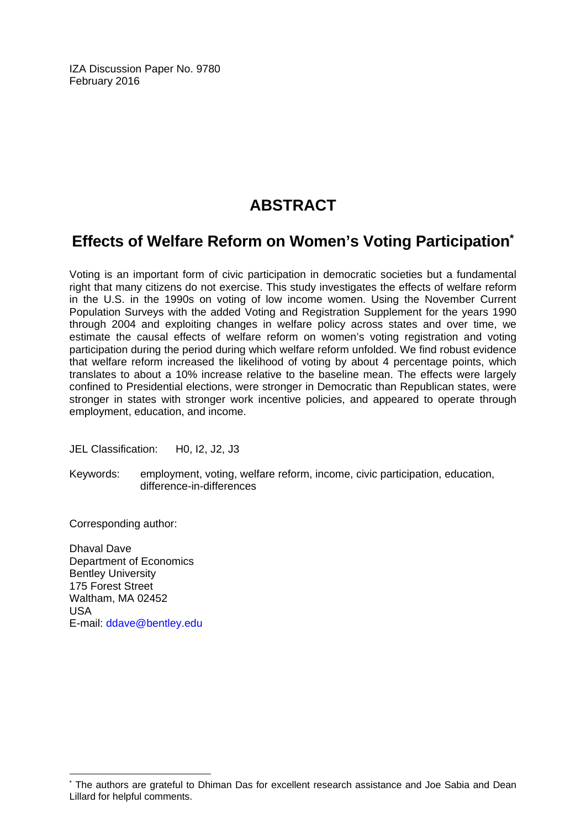IZA Discussion Paper No. 9780 February 2016

# **ABSTRACT**

## **Effects of Welfare Reform on Women's Voting Participation\***

Voting is an important form of civic participation in democratic societies but a fundamental right that many citizens do not exercise. This study investigates the effects of welfare reform in the U.S. in the 1990s on voting of low income women. Using the November Current Population Surveys with the added Voting and Registration Supplement for the years 1990 through 2004 and exploiting changes in welfare policy across states and over time, we estimate the causal effects of welfare reform on women's voting registration and voting participation during the period during which welfare reform unfolded. We find robust evidence that welfare reform increased the likelihood of voting by about 4 percentage points, which translates to about a 10% increase relative to the baseline mean. The effects were largely confined to Presidential elections, were stronger in Democratic than Republican states, were stronger in states with stronger work incentive policies, and appeared to operate through employment, education, and income.

JEL Classification: H0, I2, J2, J3

Keywords: employment, voting, welfare reform, income, civic participation, education, difference-in-differences

Corresponding author:

Dhaval Dave Department of Economics Bentley University 175 Forest Street Waltham, MA 02452 USA E-mail: ddave@bentley.edu

 $\overline{a}$ 

<sup>\*</sup> The authors are grateful to Dhiman Das for excellent research assistance and Joe Sabia and Dean Lillard for helpful comments.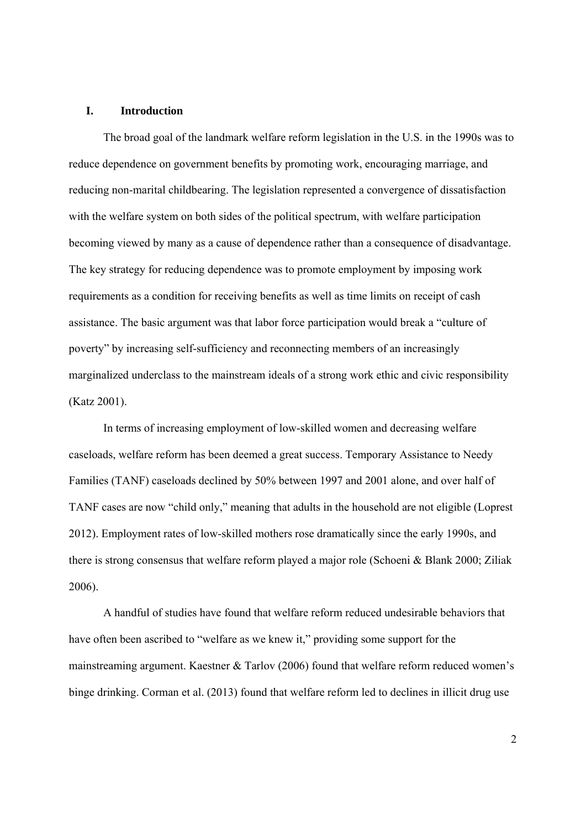#### **I. Introduction**

The broad goal of the landmark welfare reform legislation in the U.S. in the 1990s was to reduce dependence on government benefits by promoting work, encouraging marriage, and reducing non-marital childbearing. The legislation represented a convergence of dissatisfaction with the welfare system on both sides of the political spectrum, with welfare participation becoming viewed by many as a cause of dependence rather than a consequence of disadvantage. The key strategy for reducing dependence was to promote employment by imposing work requirements as a condition for receiving benefits as well as time limits on receipt of cash assistance. The basic argument was that labor force participation would break a "culture of poverty" by increasing self-sufficiency and reconnecting members of an increasingly marginalized underclass to the mainstream ideals of a strong work ethic and civic responsibility (Katz 2001).

In terms of increasing employment of low-skilled women and decreasing welfare caseloads, welfare reform has been deemed a great success. Temporary Assistance to Needy Families (TANF) caseloads declined by 50% between 1997 and 2001 alone, and over half of TANF cases are now "child only," meaning that adults in the household are not eligible (Loprest 2012). Employment rates of low-skilled mothers rose dramatically since the early 1990s, and there is strong consensus that welfare reform played a major role (Schoeni & Blank 2000; Ziliak 2006).

A handful of studies have found that welfare reform reduced undesirable behaviors that have often been ascribed to "welfare as we knew it," providing some support for the mainstreaming argument. Kaestner & Tarlov (2006) found that welfare reform reduced women's binge drinking. Corman et al. (2013) found that welfare reform led to declines in illicit drug use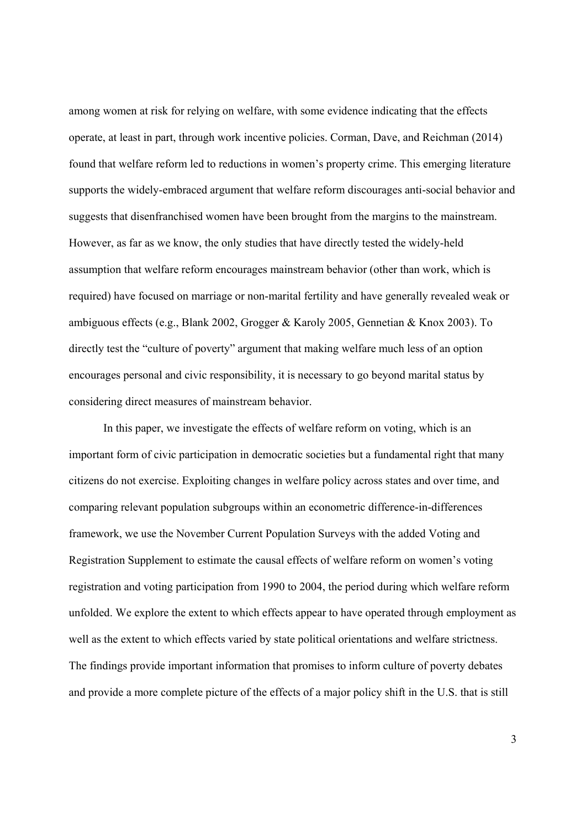among women at risk for relying on welfare, with some evidence indicating that the effects operate, at least in part, through work incentive policies. Corman, Dave, and Reichman (2014) found that welfare reform led to reductions in women's property crime. This emerging literature supports the widely-embraced argument that welfare reform discourages anti-social behavior and suggests that disenfranchised women have been brought from the margins to the mainstream. However, as far as we know, the only studies that have directly tested the widely-held assumption that welfare reform encourages mainstream behavior (other than work, which is required) have focused on marriage or non-marital fertility and have generally revealed weak or ambiguous effects (e.g., Blank 2002, Grogger & Karoly 2005, Gennetian & Knox 2003). To directly test the "culture of poverty" argument that making welfare much less of an option encourages personal and civic responsibility, it is necessary to go beyond marital status by considering direct measures of mainstream behavior.

In this paper, we investigate the effects of welfare reform on voting, which is an important form of civic participation in democratic societies but a fundamental right that many citizens do not exercise. Exploiting changes in welfare policy across states and over time, and comparing relevant population subgroups within an econometric difference-in-differences framework, we use the November Current Population Surveys with the added Voting and Registration Supplement to estimate the causal effects of welfare reform on women's voting registration and voting participation from 1990 to 2004, the period during which welfare reform unfolded. We explore the extent to which effects appear to have operated through employment as well as the extent to which effects varied by state political orientations and welfare strictness. The findings provide important information that promises to inform culture of poverty debates and provide a more complete picture of the effects of a major policy shift in the U.S. that is still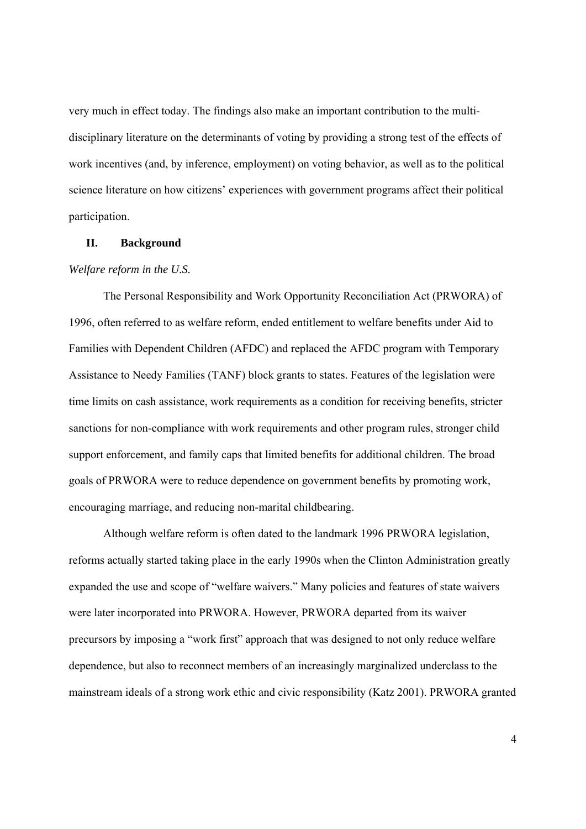very much in effect today. The findings also make an important contribution to the multidisciplinary literature on the determinants of voting by providing a strong test of the effects of work incentives (and, by inference, employment) on voting behavior, as well as to the political science literature on how citizens' experiences with government programs affect their political participation.

#### **II. Background**

#### *Welfare reform in the U.S.*

The Personal Responsibility and Work Opportunity Reconciliation Act (PRWORA) of 1996, often referred to as welfare reform, ended entitlement to welfare benefits under Aid to Families with Dependent Children (AFDC) and replaced the AFDC program with Temporary Assistance to Needy Families (TANF) block grants to states. Features of the legislation were time limits on cash assistance, work requirements as a condition for receiving benefits, stricter sanctions for non-compliance with work requirements and other program rules, stronger child support enforcement, and family caps that limited benefits for additional children. The broad goals of PRWORA were to reduce dependence on government benefits by promoting work, encouraging marriage, and reducing non-marital childbearing.

Although welfare reform is often dated to the landmark 1996 PRWORA legislation, reforms actually started taking place in the early 1990s when the Clinton Administration greatly expanded the use and scope of "welfare waivers." Many policies and features of state waivers were later incorporated into PRWORA. However, PRWORA departed from its waiver precursors by imposing a "work first" approach that was designed to not only reduce welfare dependence, but also to reconnect members of an increasingly marginalized underclass to the mainstream ideals of a strong work ethic and civic responsibility (Katz 2001). PRWORA granted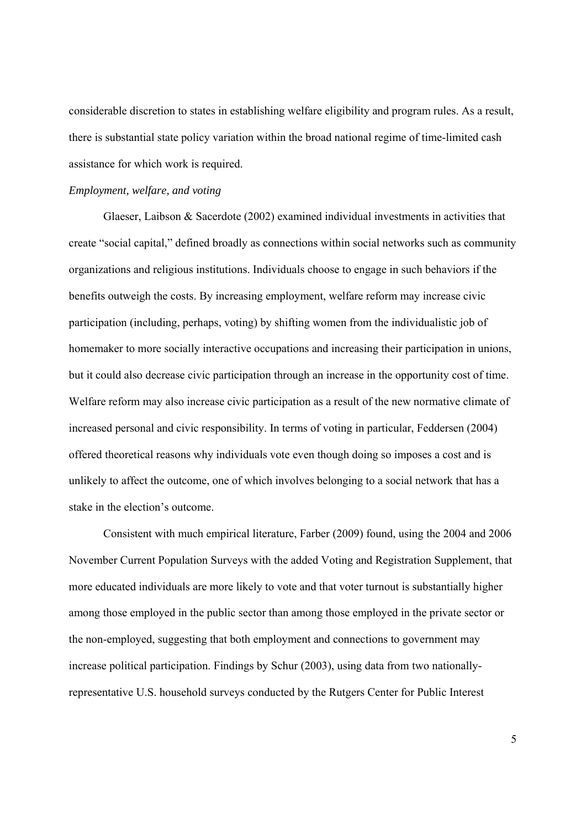considerable discretion to states in establishing welfare eligibility and program rules. As a result, there is substantial state policy variation within the broad national regime of time-limited cash assistance for which work is required.

#### *Employment, welfare, and voting*

Glaeser, Laibson & Sacerdote (2002) examined individual investments in activities that create "social capital," defined broadly as connections within social networks such as community organizations and religious institutions. Individuals choose to engage in such behaviors if the benefits outweigh the costs. By increasing employment, welfare reform may increase civic participation (including, perhaps, voting) by shifting women from the individualistic job of homemaker to more socially interactive occupations and increasing their participation in unions, but it could also decrease civic participation through an increase in the opportunity cost of time. Welfare reform may also increase civic participation as a result of the new normative climate of increased personal and civic responsibility. In terms of voting in particular, Feddersen (2004) offered theoretical reasons why individuals vote even though doing so imposes a cost and is unlikely to affect the outcome, one of which involves belonging to a social network that has a stake in the election's outcome.

Consistent with much empirical literature, Farber (2009) found, using the 2004 and 2006 November Current Population Surveys with the added Voting and Registration Supplement, that more educated individuals are more likely to vote and that voter turnout is substantially higher among those employed in the public sector than among those employed in the private sector or the non-employed, suggesting that both employment and connections to government may increase political participation. Findings by Schur (2003), using data from two nationallyrepresentative U.S. household surveys conducted by the Rutgers Center for Public Interest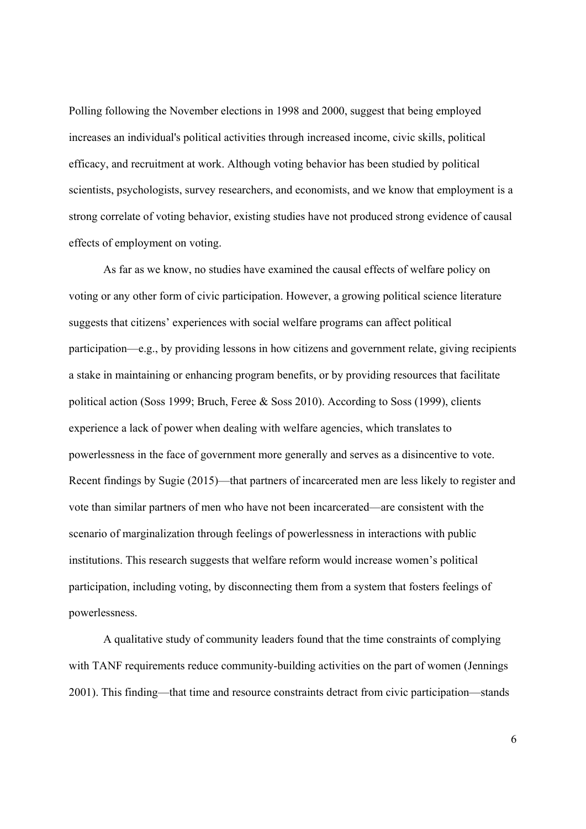Polling following the November elections in 1998 and 2000, suggest that being employed increases an individual's political activities through increased income, civic skills, political efficacy, and recruitment at work. Although voting behavior has been studied by political scientists, psychologists, survey researchers, and economists, and we know that employment is a strong correlate of voting behavior, existing studies have not produced strong evidence of causal effects of employment on voting.

As far as we know, no studies have examined the causal effects of welfare policy on voting or any other form of civic participation. However, a growing political science literature suggests that citizens' experiences with social welfare programs can affect political participation—e.g., by providing lessons in how citizens and government relate, giving recipients a stake in maintaining or enhancing program benefits, or by providing resources that facilitate political action (Soss 1999; Bruch, Feree & Soss 2010). According to Soss (1999), clients experience a lack of power when dealing with welfare agencies, which translates to powerlessness in the face of government more generally and serves as a disincentive to vote. Recent findings by Sugie (2015)—that partners of incarcerated men are less likely to register and vote than similar partners of men who have not been incarcerated—are consistent with the scenario of marginalization through feelings of powerlessness in interactions with public institutions. This research suggests that welfare reform would increase women's political participation, including voting, by disconnecting them from a system that fosters feelings of powerlessness.

A qualitative study of community leaders found that the time constraints of complying with TANF requirements reduce community-building activities on the part of women (Jennings) 2001). This finding—that time and resource constraints detract from civic participation—stands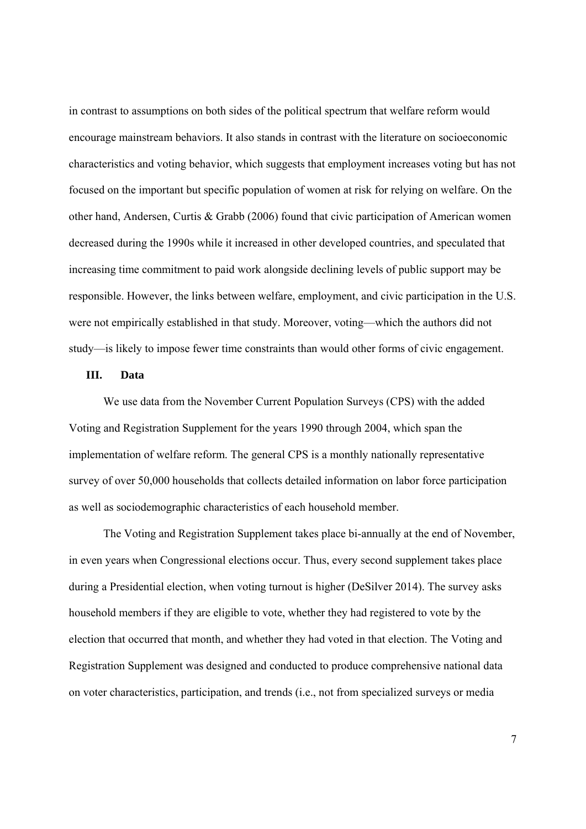in contrast to assumptions on both sides of the political spectrum that welfare reform would encourage mainstream behaviors. It also stands in contrast with the literature on socioeconomic characteristics and voting behavior, which suggests that employment increases voting but has not focused on the important but specific population of women at risk for relying on welfare. On the other hand, Andersen, Curtis & Grabb (2006) found that civic participation of American women decreased during the 1990s while it increased in other developed countries, and speculated that increasing time commitment to paid work alongside declining levels of public support may be responsible. However, the links between welfare, employment, and civic participation in the U.S. were not empirically established in that study. Moreover, voting—which the authors did not study—is likely to impose fewer time constraints than would other forms of civic engagement.

#### **III. Data**

We use data from the November Current Population Surveys (CPS) with the added Voting and Registration Supplement for the years 1990 through 2004, which span the implementation of welfare reform. The general CPS is a monthly nationally representative survey of over 50,000 households that collects detailed information on labor force participation as well as sociodemographic characteristics of each household member.

The Voting and Registration Supplement takes place bi-annually at the end of November, in even years when Congressional elections occur. Thus, every second supplement takes place during a Presidential election, when voting turnout is higher (DeSilver 2014). The survey asks household members if they are eligible to vote, whether they had registered to vote by the election that occurred that month, and whether they had voted in that election. The Voting and Registration Supplement was designed and conducted to produce comprehensive national data on voter characteristics, participation, and trends (i.e., not from specialized surveys or media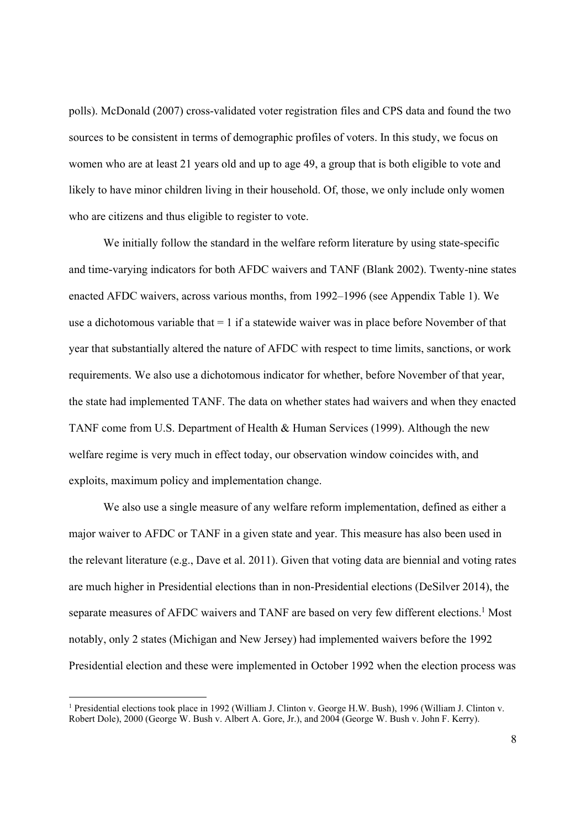polls). McDonald (2007) cross-validated voter registration files and CPS data and found the two sources to be consistent in terms of demographic profiles of voters. In this study, we focus on women who are at least 21 years old and up to age 49, a group that is both eligible to vote and likely to have minor children living in their household. Of, those, we only include only women who are citizens and thus eligible to register to vote.

We initially follow the standard in the welfare reform literature by using state-specific and time-varying indicators for both AFDC waivers and TANF (Blank 2002). Twenty-nine states enacted AFDC waivers, across various months, from 1992–1996 (see Appendix Table 1). We use a dichotomous variable that = 1 if a statewide waiver was in place before November of that year that substantially altered the nature of AFDC with respect to time limits, sanctions, or work requirements. We also use a dichotomous indicator for whether, before November of that year, the state had implemented TANF. The data on whether states had waivers and when they enacted TANF come from U.S. Department of Health & Human Services (1999). Although the new welfare regime is very much in effect today, our observation window coincides with, and exploits, maximum policy and implementation change.

We also use a single measure of any welfare reform implementation, defined as either a major waiver to AFDC or TANF in a given state and year. This measure has also been used in the relevant literature (e.g., Dave et al. 2011). Given that voting data are biennial and voting rates are much higher in Presidential elections than in non-Presidential elections (DeSilver 2014), the separate measures of AFDC waivers and TANF are based on very few different elections.<sup>1</sup> Most notably, only 2 states (Michigan and New Jersey) had implemented waivers before the 1992 Presidential election and these were implemented in October 1992 when the election process was

<sup>1</sup> Presidential elections took place in 1992 (William J. Clinton v. George H.W. Bush), 1996 (William J. Clinton v. Robert Dole), 2000 (George W. Bush v. Albert A. Gore, Jr.), and 2004 (George W. Bush v. John F. Kerry).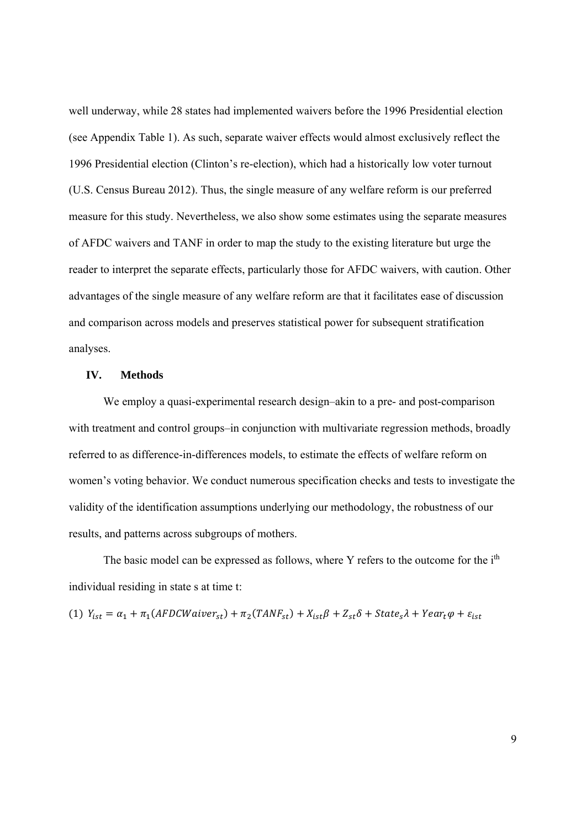well underway, while 28 states had implemented waivers before the 1996 Presidential election (see Appendix Table 1). As such, separate waiver effects would almost exclusively reflect the 1996 Presidential election (Clinton's re-election), which had a historically low voter turnout (U.S. Census Bureau 2012). Thus, the single measure of any welfare reform is our preferred measure for this study. Nevertheless, we also show some estimates using the separate measures of AFDC waivers and TANF in order to map the study to the existing literature but urge the reader to interpret the separate effects, particularly those for AFDC waivers, with caution. Other advantages of the single measure of any welfare reform are that it facilitates ease of discussion and comparison across models and preserves statistical power for subsequent stratification analyses.

#### **IV. Methods**

We employ a quasi-experimental research design–akin to a pre- and post-comparison with treatment and control groups–in conjunction with multivariate regression methods, broadly referred to as difference-in-differences models, to estimate the effects of welfare reform on women's voting behavior. We conduct numerous specification checks and tests to investigate the validity of the identification assumptions underlying our methodology, the robustness of our results, and patterns across subgroups of mothers.

The basic model can be expressed as follows, where Y refers to the outcome for the i<sup>th</sup> individual residing in state s at time t:

(1) 
$$
Y_{ist} = \alpha_1 + \pi_1 (AFDCWavier_{st}) + \pi_2 (TANF_{st}) + X_{ist}\beta + Z_{st}\delta + State_s\lambda + Year_t\varphi + \varepsilon_{ist}
$$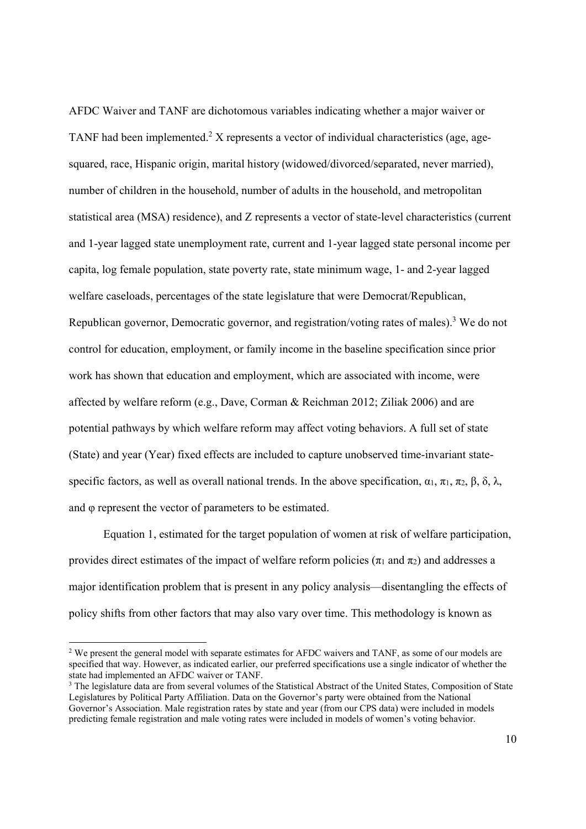AFDC Waiver and TANF are dichotomous variables indicating whether a major waiver or TANF had been implemented.<sup>2</sup> X represents a vector of individual characteristics (age, agesquared, race, Hispanic origin, marital history (widowed/divorced/separated, never married), number of children in the household, number of adults in the household, and metropolitan statistical area (MSA) residence), and Z represents a vector of state-level characteristics (current and 1-year lagged state unemployment rate, current and 1-year lagged state personal income per capita, log female population, state poverty rate, state minimum wage, 1- and 2-year lagged welfare caseloads, percentages of the state legislature that were Democrat/Republican, Republican governor, Democratic governor, and registration/voting rates of males).<sup>3</sup> We do not control for education, employment, or family income in the baseline specification since prior work has shown that education and employment, which are associated with income, were affected by welfare reform (e.g., Dave, Corman & Reichman 2012; Ziliak 2006) and are potential pathways by which welfare reform may affect voting behaviors. A full set of state (State) and year (Year) fixed effects are included to capture unobserved time-invariant statespecific factors, as well as overall national trends. In the above specification,  $\alpha_1$ ,  $\pi_1$ ,  $\pi_2$ ,  $\beta$ ,  $\delta$ ,  $\lambda$ , and φ represent the vector of parameters to be estimated.

Equation 1, estimated for the target population of women at risk of welfare participation, provides direct estimates of the impact of welfare reform policies ( $\pi_1$  and  $\pi_2$ ) and addresses a major identification problem that is present in any policy analysis—disentangling the effects of policy shifts from other factors that may also vary over time. This methodology is known as

<sup>&</sup>lt;sup>2</sup> We present the general model with separate estimates for AFDC waivers and TANF, as some of our models are specified that way. However, as indicated earlier, our preferred specifications use a single indicator of whether the state had implemented an AFDC waiver or TANF.

<sup>&</sup>lt;sup>3</sup> The legislature data are from several volumes of the Statistical Abstract of the United States, Composition of State Legislatures by Political Party Affiliation. Data on the Governor's party were obtained from the National Governor's Association. Male registration rates by state and year (from our CPS data) were included in models predicting female registration and male voting rates were included in models of women's voting behavior.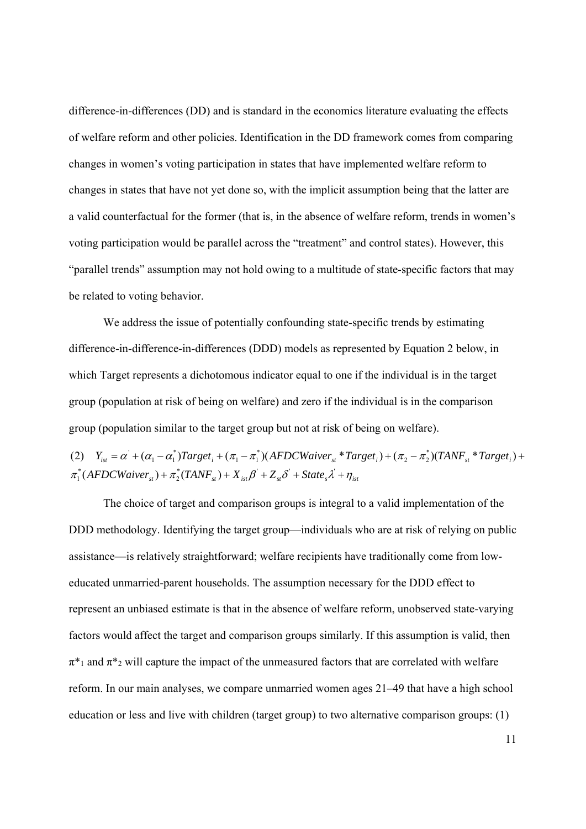difference-in-differences (DD) and is standard in the economics literature evaluating the effects of welfare reform and other policies. Identification in the DD framework comes from comparing changes in women's voting participation in states that have implemented welfare reform to changes in states that have not yet done so, with the implicit assumption being that the latter are a valid counterfactual for the former (that is, in the absence of welfare reform, trends in women's voting participation would be parallel across the "treatment" and control states). However, this "parallel trends" assumption may not hold owing to a multitude of state-specific factors that may be related to voting behavior.

We address the issue of potentially confounding state-specific trends by estimating difference-in-difference-in-differences (DDD) models as represented by Equation 2 below, in which Target represents a dichotomous indicator equal to one if the individual is in the target group (population at risk of being on welfare) and zero if the individual is in the comparison group (population similar to the target group but not at risk of being on welfare).

(2) 
$$
Y_{ist} = \alpha^{\dagger} + (\alpha_1 - \alpha_1^{\dagger})Target_i + (\pi_1 - \pi_1^{\dagger})(AFDCWavier_{st} * Target_i) + (\pi_2 - \pi_2^{\dagger})(TANF_{st} * Target_i) + \pi_1^{\dagger}(AFDCWavier_{st}) + \pi_2^{\dagger}(TANF_{st}) + X_{ist}\beta^{\dagger} + Z_{st}\delta^{\dagger} + State_s\lambda^{\dagger} + \eta_{ist}
$$

The choice of target and comparison groups is integral to a valid implementation of the DDD methodology. Identifying the target group—individuals who are at risk of relying on public assistance—is relatively straightforward; welfare recipients have traditionally come from loweducated unmarried-parent households. The assumption necessary for the DDD effect to represent an unbiased estimate is that in the absence of welfare reform, unobserved state-varying factors would affect the target and comparison groups similarly. If this assumption is valid, then  $\pi^*$ <sup>1</sup> and  $\pi^*$ <sup>2</sup> will capture the impact of the unmeasured factors that are correlated with welfare reform. In our main analyses, we compare unmarried women ages 21–49 that have a high school education or less and live with children (target group) to two alternative comparison groups: (1)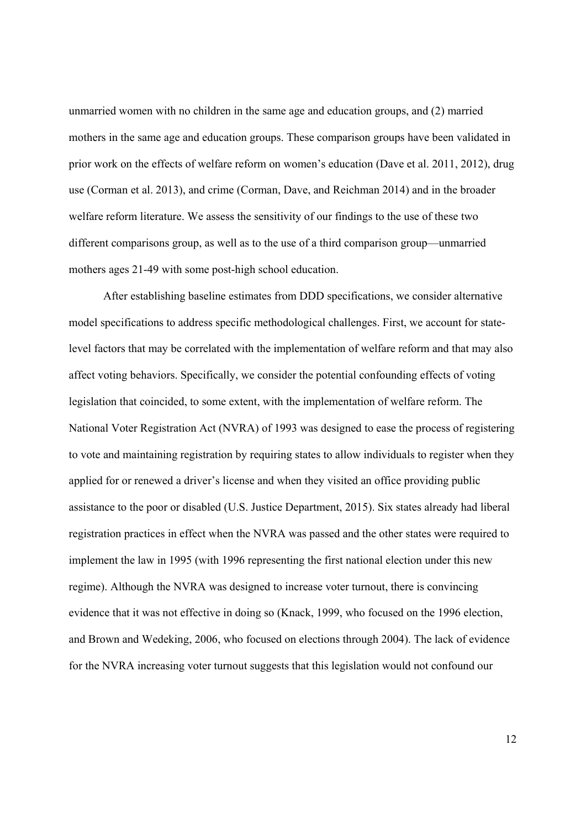unmarried women with no children in the same age and education groups, and (2) married mothers in the same age and education groups. These comparison groups have been validated in prior work on the effects of welfare reform on women's education (Dave et al. 2011, 2012), drug use (Corman et al. 2013), and crime (Corman, Dave, and Reichman 2014) and in the broader welfare reform literature. We assess the sensitivity of our findings to the use of these two different comparisons group, as well as to the use of a third comparison group—unmarried mothers ages 21-49 with some post-high school education.

 After establishing baseline estimates from DDD specifications, we consider alternative model specifications to address specific methodological challenges. First, we account for statelevel factors that may be correlated with the implementation of welfare reform and that may also affect voting behaviors. Specifically, we consider the potential confounding effects of voting legislation that coincided, to some extent, with the implementation of welfare reform. The National Voter Registration Act (NVRA) of 1993 was designed to ease the process of registering to vote and maintaining registration by requiring states to allow individuals to register when they applied for or renewed a driver's license and when they visited an office providing public assistance to the poor or disabled (U.S. Justice Department, 2015). Six states already had liberal registration practices in effect when the NVRA was passed and the other states were required to implement the law in 1995 (with 1996 representing the first national election under this new regime). Although the NVRA was designed to increase voter turnout, there is convincing evidence that it was not effective in doing so (Knack, 1999, who focused on the 1996 election, and Brown and Wedeking, 2006, who focused on elections through 2004). The lack of evidence for the NVRA increasing voter turnout suggests that this legislation would not confound our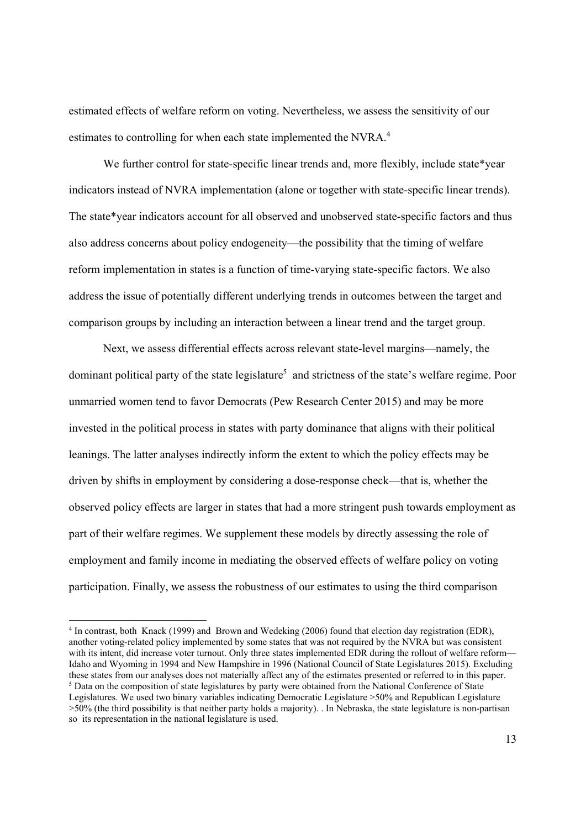estimated effects of welfare reform on voting. Nevertheless, we assess the sensitivity of our estimates to controlling for when each state implemented the NVRA.<sup>4</sup>

We further control for state-specific linear trends and, more flexibly, include state\*year indicators instead of NVRA implementation (alone or together with state-specific linear trends). The state\*year indicators account for all observed and unobserved state-specific factors and thus also address concerns about policy endogeneity—the possibility that the timing of welfare reform implementation in states is a function of time-varying state-specific factors. We also address the issue of potentially different underlying trends in outcomes between the target and comparison groups by including an interaction between a linear trend and the target group.

Next, we assess differential effects across relevant state-level margins—namely, the dominant political party of the state legislature<sup>5</sup> and strictness of the state's welfare regime. Poor unmarried women tend to favor Democrats (Pew Research Center 2015) and may be more invested in the political process in states with party dominance that aligns with their political leanings. The latter analyses indirectly inform the extent to which the policy effects may be driven by shifts in employment by considering a dose-response check—that is, whether the observed policy effects are larger in states that had a more stringent push towards employment as part of their welfare regimes. We supplement these models by directly assessing the role of employment and family income in mediating the observed effects of welfare policy on voting participation. Finally, we assess the robustness of our estimates to using the third comparison

<sup>4</sup> In contrast, both Knack (1999) and Brown and Wedeking (2006) found that election day registration (EDR), another voting-related policy implemented by some states that was not required by the NVRA but was consistent with its intent, did increase voter turnout. Only three states implemented EDR during the rollout of welfare reform— Idaho and Wyoming in 1994 and New Hampshire in 1996 (National Council of State Legislatures 2015). Excluding these states from our analyses does not materially affect any of the estimates presented or referred to in this paper. <sup>5</sup> Data on the composition of state legislatures by party were obtained from the National Conference of State Legislatures. We used two binary variables indicating Democratic Legislature >50% and Republican Legislature  $>50\%$  (the third possibility is that neither party holds a majority). . In Nebraska, the state legislature is non-partisan so its representation in the national legislature is used.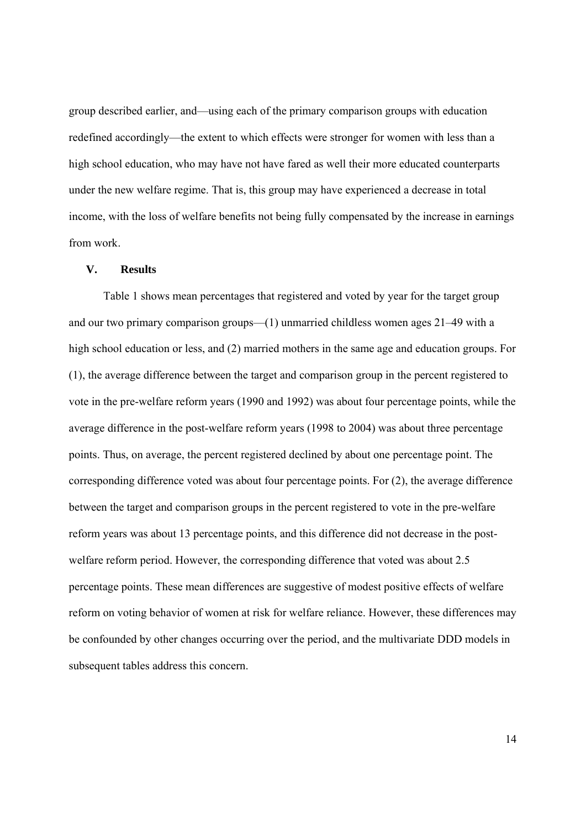group described earlier, and—using each of the primary comparison groups with education redefined accordingly—the extent to which effects were stronger for women with less than a high school education, who may have not have fared as well their more educated counterparts under the new welfare regime. That is, this group may have experienced a decrease in total income, with the loss of welfare benefits not being fully compensated by the increase in earnings from work.

#### **V. Results**

Table 1 shows mean percentages that registered and voted by year for the target group and our two primary comparison groups—(1) unmarried childless women ages 21–49 with a high school education or less, and (2) married mothers in the same age and education groups. For (1), the average difference between the target and comparison group in the percent registered to vote in the pre-welfare reform years (1990 and 1992) was about four percentage points, while the average difference in the post-welfare reform years (1998 to 2004) was about three percentage points. Thus, on average, the percent registered declined by about one percentage point. The corresponding difference voted was about four percentage points. For (2), the average difference between the target and comparison groups in the percent registered to vote in the pre-welfare reform years was about 13 percentage points, and this difference did not decrease in the postwelfare reform period. However, the corresponding difference that voted was about 2.5 percentage points. These mean differences are suggestive of modest positive effects of welfare reform on voting behavior of women at risk for welfare reliance. However, these differences may be confounded by other changes occurring over the period, and the multivariate DDD models in subsequent tables address this concern.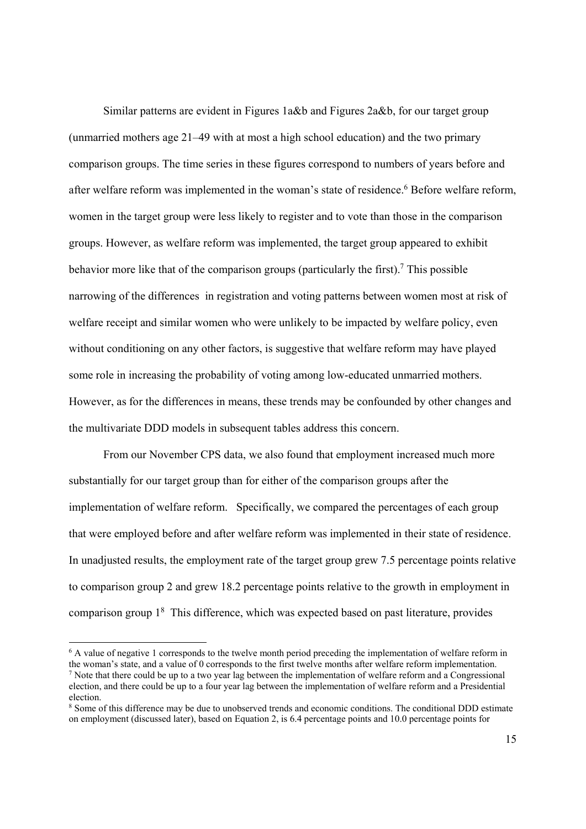Similar patterns are evident in Figures 1a&b and Figures 2a&b, for our target group (unmarried mothers age 21–49 with at most a high school education) and the two primary comparison groups. The time series in these figures correspond to numbers of years before and after welfare reform was implemented in the woman's state of residence.<sup>6</sup> Before welfare reform, women in the target group were less likely to register and to vote than those in the comparison groups. However, as welfare reform was implemented, the target group appeared to exhibit behavior more like that of the comparison groups (particularly the first).<sup>7</sup> This possible narrowing of the differences in registration and voting patterns between women most at risk of welfare receipt and similar women who were unlikely to be impacted by welfare policy, even without conditioning on any other factors, is suggestive that welfare reform may have played some role in increasing the probability of voting among low-educated unmarried mothers. However, as for the differences in means, these trends may be confounded by other changes and the multivariate DDD models in subsequent tables address this concern.

From our November CPS data, we also found that employment increased much more substantially for our target group than for either of the comparison groups after the implementation of welfare reform. Specifically, we compared the percentages of each group that were employed before and after welfare reform was implemented in their state of residence. In unadjusted results, the employment rate of the target group grew 7.5 percentage points relative to comparison group 2 and grew 18.2 percentage points relative to the growth in employment in comparison group 1<sup>8</sup> This difference, which was expected based on past literature, provides

<sup>&</sup>lt;sup>6</sup> A value of negative 1 corresponds to the twelve month period preceding the implementation of welfare reform in the woman's state, and a value of 0 corresponds to the first twelve months after welfare reform implementation. <sup>7</sup> Note that there could be up to a two year lag between the implementation of welfare reform and a Congressional

election, and there could be up to a four year lag between the implementation of welfare reform and a Presidential election.

<sup>&</sup>lt;sup>8</sup> Some of this difference may be due to unobserved trends and economic conditions. The conditional DDD estimate on employment (discussed later), based on Equation 2, is 6.4 percentage points and 10.0 percentage points for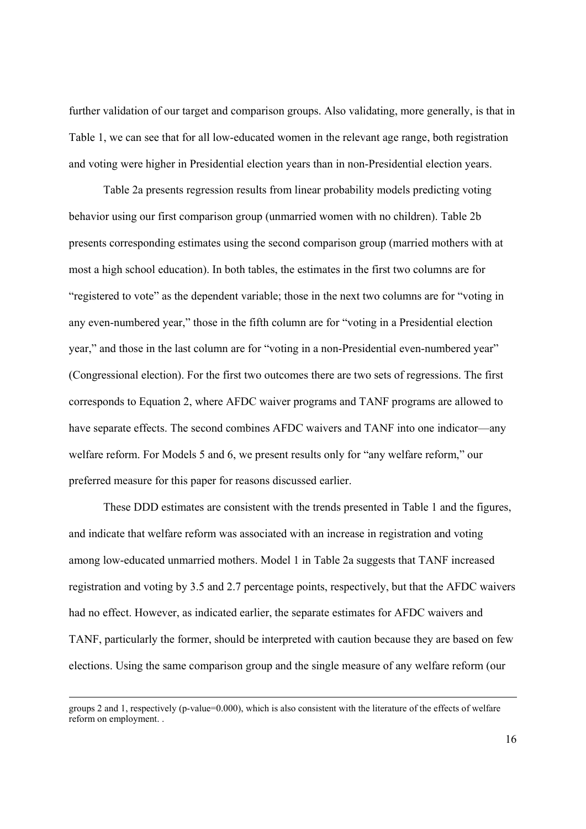further validation of our target and comparison groups. Also validating, more generally, is that in Table 1, we can see that for all low-educated women in the relevant age range, both registration and voting were higher in Presidential election years than in non-Presidential election years.

Table 2a presents regression results from linear probability models predicting voting behavior using our first comparison group (unmarried women with no children). Table 2b presents corresponding estimates using the second comparison group (married mothers with at most a high school education). In both tables, the estimates in the first two columns are for "registered to vote" as the dependent variable; those in the next two columns are for "voting in any even-numbered year," those in the fifth column are for "voting in a Presidential election year," and those in the last column are for "voting in a non-Presidential even-numbered year" (Congressional election). For the first two outcomes there are two sets of regressions. The first corresponds to Equation 2, where AFDC waiver programs and TANF programs are allowed to have separate effects. The second combines AFDC waivers and TANF into one indicator—any welfare reform. For Models 5 and 6, we present results only for "any welfare reform," our preferred measure for this paper for reasons discussed earlier.

 These DDD estimates are consistent with the trends presented in Table 1 and the figures, and indicate that welfare reform was associated with an increase in registration and voting among low-educated unmarried mothers. Model 1 in Table 2a suggests that TANF increased registration and voting by 3.5 and 2.7 percentage points, respectively, but that the AFDC waivers had no effect. However, as indicated earlier, the separate estimates for AFDC waivers and TANF, particularly the former, should be interpreted with caution because they are based on few elections. Using the same comparison group and the single measure of any welfare reform (our

and the contract of the contract of the contract of the contract of the contract of the contract of the contract of

groups 2 and 1, respectively (p-value=0.000), which is also consistent with the literature of the effects of welfare reform on employment. .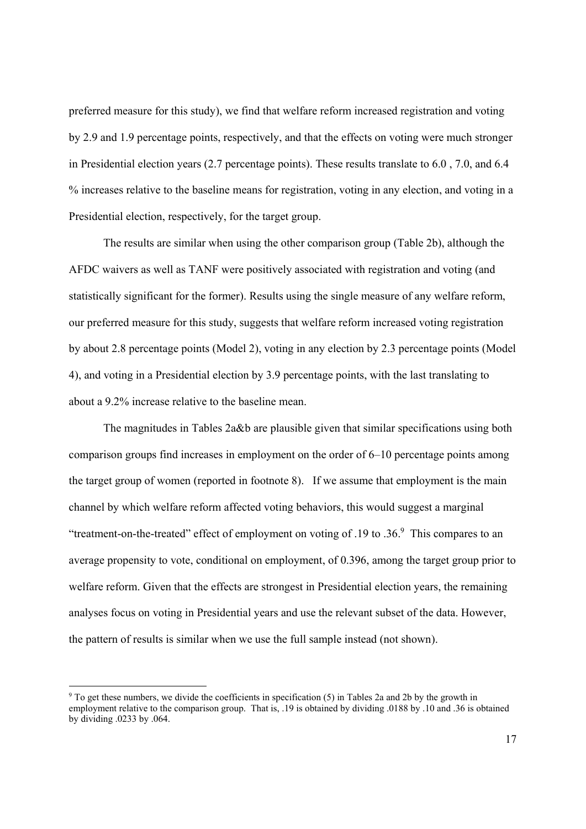preferred measure for this study), we find that welfare reform increased registration and voting by 2.9 and 1.9 percentage points, respectively, and that the effects on voting were much stronger in Presidential election years (2.7 percentage points). These results translate to 6.0 , 7.0, and 6.4 % increases relative to the baseline means for registration, voting in any election, and voting in a Presidential election, respectively, for the target group.

The results are similar when using the other comparison group (Table 2b), although the AFDC waivers as well as TANF were positively associated with registration and voting (and statistically significant for the former). Results using the single measure of any welfare reform, our preferred measure for this study, suggests that welfare reform increased voting registration by about 2.8 percentage points (Model 2), voting in any election by 2.3 percentage points (Model 4), and voting in a Presidential election by 3.9 percentage points, with the last translating to about a 9.2% increase relative to the baseline mean.

The magnitudes in Tables 2a&b are plausible given that similar specifications using both comparison groups find increases in employment on the order of 6–10 percentage points among the target group of women (reported in footnote 8). If we assume that employment is the main channel by which welfare reform affected voting behaviors, this would suggest a marginal "treatment-on-the-treated" effect of employment on voting of  $.19$  to  $.36$ . This compares to an average propensity to vote, conditional on employment, of 0.396, among the target group prior to welfare reform. Given that the effects are strongest in Presidential election years, the remaining analyses focus on voting in Presidential years and use the relevant subset of the data. However, the pattern of results is similar when we use the full sample instead (not shown).

<sup>&</sup>lt;sup>9</sup> To get these numbers, we divide the coefficients in specification (5) in Tables 2a and 2b by the growth in employment relative to the comparison group. That is, .19 is obtained by dividing .0188 by .10 and .36 is obtained by dividing .0233 by .064.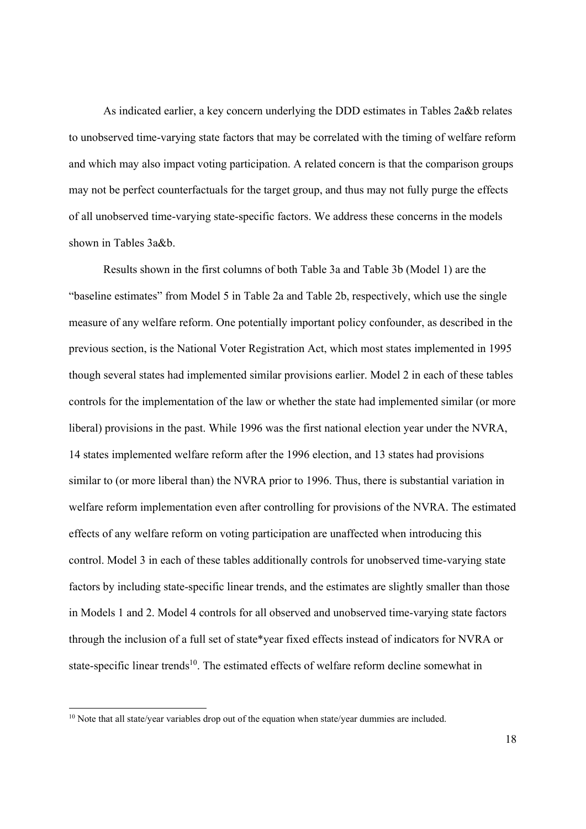As indicated earlier, a key concern underlying the DDD estimates in Tables 2a&b relates to unobserved time-varying state factors that may be correlated with the timing of welfare reform and which may also impact voting participation. A related concern is that the comparison groups may not be perfect counterfactuals for the target group, and thus may not fully purge the effects of all unobserved time-varying state-specific factors. We address these concerns in the models shown in Tables 3a&b.

Results shown in the first columns of both Table 3a and Table 3b (Model 1) are the "baseline estimates" from Model 5 in Table 2a and Table 2b, respectively, which use the single measure of any welfare reform. One potentially important policy confounder, as described in the previous section, is the National Voter Registration Act, which most states implemented in 1995 though several states had implemented similar provisions earlier. Model 2 in each of these tables controls for the implementation of the law or whether the state had implemented similar (or more liberal) provisions in the past. While 1996 was the first national election year under the NVRA, 14 states implemented welfare reform after the 1996 election, and 13 states had provisions similar to (or more liberal than) the NVRA prior to 1996. Thus, there is substantial variation in welfare reform implementation even after controlling for provisions of the NVRA. The estimated effects of any welfare reform on voting participation are unaffected when introducing this control. Model 3 in each of these tables additionally controls for unobserved time-varying state factors by including state-specific linear trends, and the estimates are slightly smaller than those in Models 1 and 2. Model 4 controls for all observed and unobserved time-varying state factors through the inclusion of a full set of state\*year fixed effects instead of indicators for NVRA or state-specific linear trends<sup>10</sup>. The estimated effects of welfare reform decline somewhat in

 $10$  Note that all state/year variables drop out of the equation when state/year dummies are included.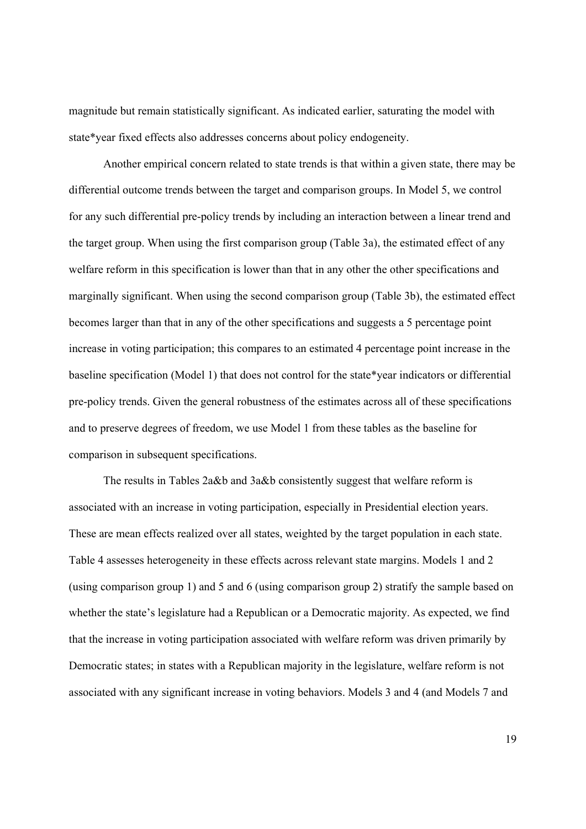magnitude but remain statistically significant. As indicated earlier, saturating the model with state\*year fixed effects also addresses concerns about policy endogeneity.

Another empirical concern related to state trends is that within a given state, there may be differential outcome trends between the target and comparison groups. In Model 5, we control for any such differential pre-policy trends by including an interaction between a linear trend and the target group. When using the first comparison group (Table 3a), the estimated effect of any welfare reform in this specification is lower than that in any other the other specifications and marginally significant. When using the second comparison group (Table 3b), the estimated effect becomes larger than that in any of the other specifications and suggests a 5 percentage point increase in voting participation; this compares to an estimated 4 percentage point increase in the baseline specification (Model 1) that does not control for the state\*year indicators or differential pre-policy trends. Given the general robustness of the estimates across all of these specifications and to preserve degrees of freedom, we use Model 1 from these tables as the baseline for comparison in subsequent specifications.

The results in Tables 2a&b and 3a&b consistently suggest that welfare reform is associated with an increase in voting participation, especially in Presidential election years. These are mean effects realized over all states, weighted by the target population in each state. Table 4 assesses heterogeneity in these effects across relevant state margins. Models 1 and 2 (using comparison group 1) and 5 and 6 (using comparison group 2) stratify the sample based on whether the state's legislature had a Republican or a Democratic majority. As expected, we find that the increase in voting participation associated with welfare reform was driven primarily by Democratic states; in states with a Republican majority in the legislature, welfare reform is not associated with any significant increase in voting behaviors. Models 3 and 4 (and Models 7 and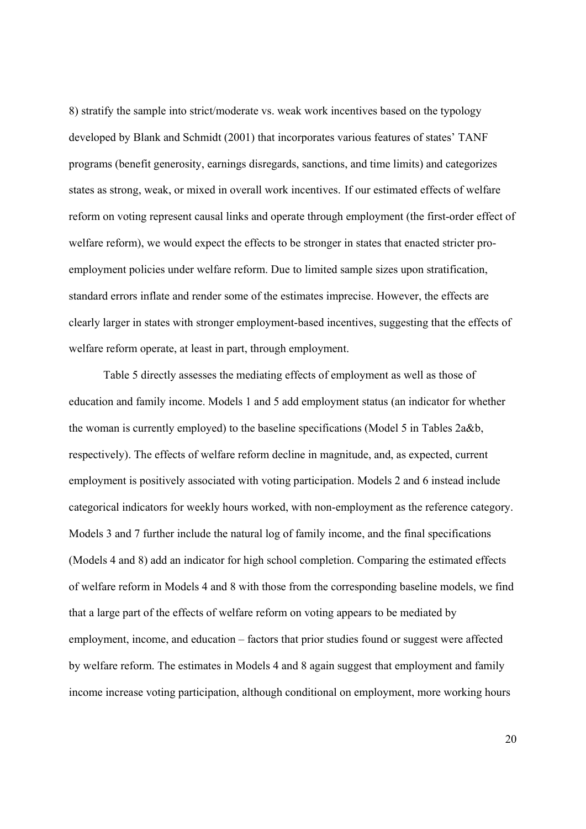8) stratify the sample into strict/moderate vs. weak work incentives based on the typology developed by Blank and Schmidt (2001) that incorporates various features of states' TANF programs (benefit generosity, earnings disregards, sanctions, and time limits) and categorizes states as strong, weak, or mixed in overall work incentives. If our estimated effects of welfare reform on voting represent causal links and operate through employment (the first-order effect of welfare reform), we would expect the effects to be stronger in states that enacted stricter proemployment policies under welfare reform. Due to limited sample sizes upon stratification, standard errors inflate and render some of the estimates imprecise. However, the effects are clearly larger in states with stronger employment-based incentives, suggesting that the effects of welfare reform operate, at least in part, through employment.

 Table 5 directly assesses the mediating effects of employment as well as those of education and family income. Models 1 and 5 add employment status (an indicator for whether the woman is currently employed) to the baseline specifications (Model 5 in Tables 2a&b, respectively). The effects of welfare reform decline in magnitude, and, as expected, current employment is positively associated with voting participation. Models 2 and 6 instead include categorical indicators for weekly hours worked, with non-employment as the reference category. Models 3 and 7 further include the natural log of family income, and the final specifications (Models 4 and 8) add an indicator for high school completion. Comparing the estimated effects of welfare reform in Models 4 and 8 with those from the corresponding baseline models, we find that a large part of the effects of welfare reform on voting appears to be mediated by employment, income, and education – factors that prior studies found or suggest were affected by welfare reform. The estimates in Models 4 and 8 again suggest that employment and family income increase voting participation, although conditional on employment, more working hours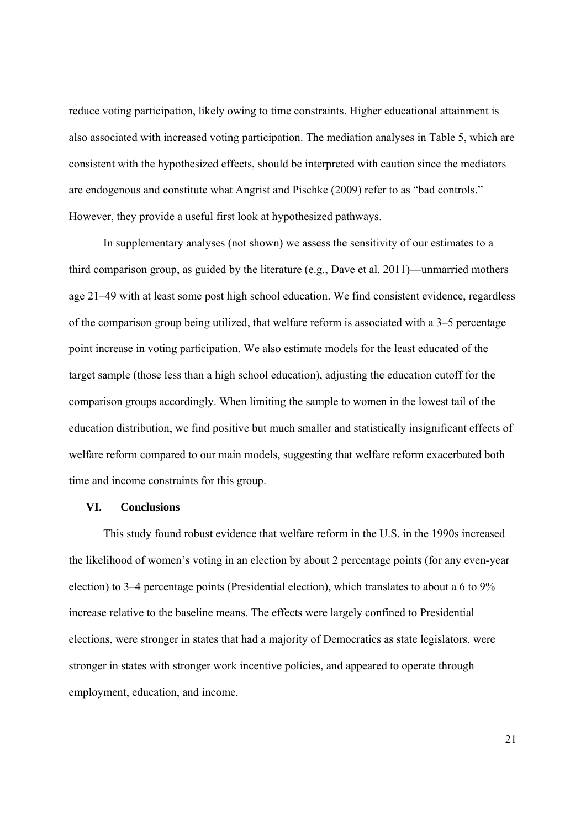reduce voting participation, likely owing to time constraints. Higher educational attainment is also associated with increased voting participation. The mediation analyses in Table 5, which are consistent with the hypothesized effects, should be interpreted with caution since the mediators are endogenous and constitute what Angrist and Pischke (2009) refer to as "bad controls." However, they provide a useful first look at hypothesized pathways.

In supplementary analyses (not shown) we assess the sensitivity of our estimates to a third comparison group, as guided by the literature (e.g., Dave et al. 2011)—unmarried mothers age 21–49 with at least some post high school education. We find consistent evidence, regardless of the comparison group being utilized, that welfare reform is associated with a 3–5 percentage point increase in voting participation. We also estimate models for the least educated of the target sample (those less than a high school education), adjusting the education cutoff for the comparison groups accordingly. When limiting the sample to women in the lowest tail of the education distribution, we find positive but much smaller and statistically insignificant effects of welfare reform compared to our main models, suggesting that welfare reform exacerbated both time and income constraints for this group.

#### **VI. Conclusions**

This study found robust evidence that welfare reform in the U.S. in the 1990s increased the likelihood of women's voting in an election by about 2 percentage points (for any even-year election) to 3–4 percentage points (Presidential election), which translates to about a 6 to 9% increase relative to the baseline means. The effects were largely confined to Presidential elections, were stronger in states that had a majority of Democratics as state legislators, were stronger in states with stronger work incentive policies, and appeared to operate through employment, education, and income.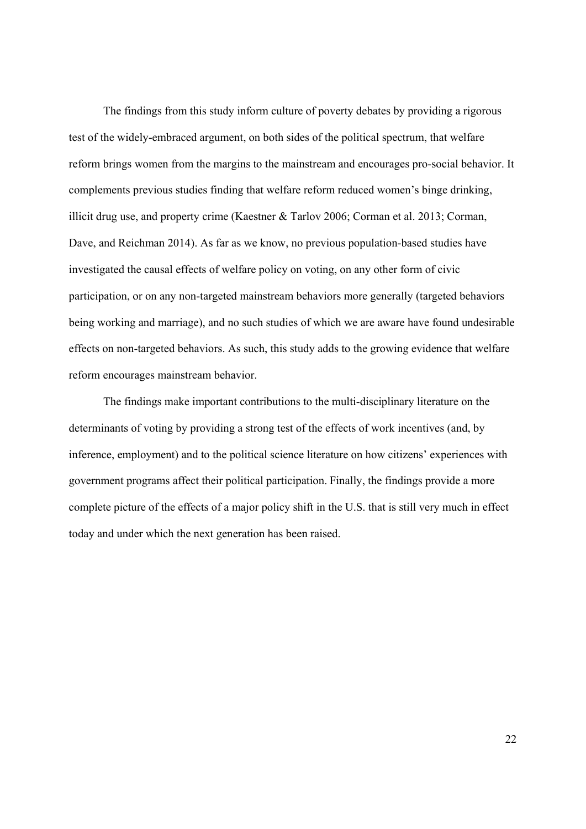The findings from this study inform culture of poverty debates by providing a rigorous test of the widely-embraced argument, on both sides of the political spectrum, that welfare reform brings women from the margins to the mainstream and encourages pro-social behavior. It complements previous studies finding that welfare reform reduced women's binge drinking, illicit drug use, and property crime (Kaestner & Tarlov 2006; Corman et al. 2013; Corman, Dave, and Reichman 2014). As far as we know, no previous population-based studies have investigated the causal effects of welfare policy on voting, on any other form of civic participation, or on any non-targeted mainstream behaviors more generally (targeted behaviors being working and marriage), and no such studies of which we are aware have found undesirable effects on non-targeted behaviors. As such, this study adds to the growing evidence that welfare reform encourages mainstream behavior.

The findings make important contributions to the multi-disciplinary literature on the determinants of voting by providing a strong test of the effects of work incentives (and, by inference, employment) and to the political science literature on how citizens' experiences with government programs affect their political participation. Finally, the findings provide a more complete picture of the effects of a major policy shift in the U.S. that is still very much in effect today and under which the next generation has been raised.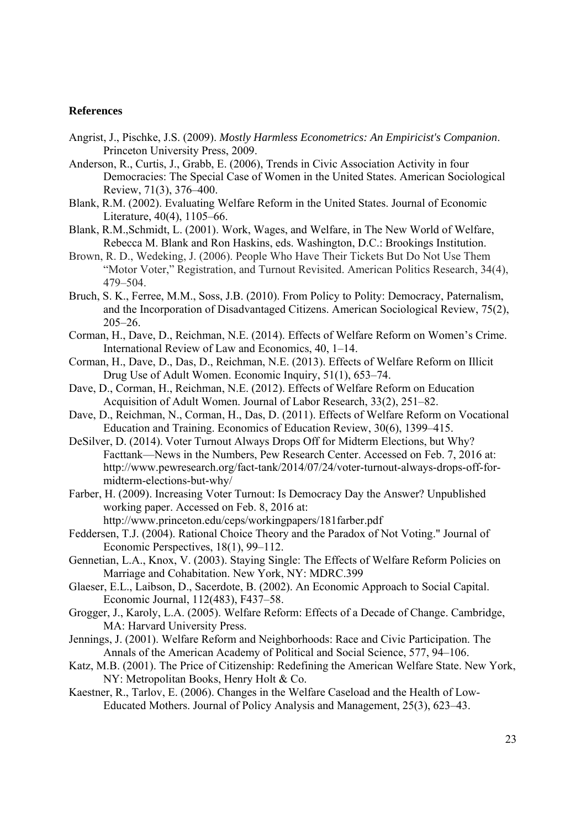#### **References**

- Angrist, J., Pischke, J.S. (2009). *Mostly Harmless Econometrics: An Empiricist's Companion*. Princeton University Press, 2009.
- Anderson, R., Curtis, J., Grabb, E. (2006), Trends in Civic Association Activity in four Democracies: The Special Case of Women in the United States. American Sociological Review, 71(3), 376–400.
- Blank, R.M. (2002). Evaluating Welfare Reform in the United States. Journal of Economic Literature, 40(4), 1105–66.
- Blank, R.M.,Schmidt, L. (2001). Work, Wages, and Welfare, in The New World of Welfare, Rebecca M. Blank and Ron Haskins, eds. Washington, D.C.: Brookings Institution.
- Brown, R. D., Wedeking, J. (2006). People Who Have Their Tickets But Do Not Use Them "Motor Voter," Registration, and Turnout Revisited. American Politics Research, 34(4), 479–504.
- Bruch, S. K., Ferree, M.M., Soss, J.B. (2010). From Policy to Polity: Democracy, Paternalism, and the Incorporation of Disadvantaged Citizens. American Sociological Review, 75(2), 205–26.
- Corman, H., Dave, D., Reichman, N.E. (2014). Effects of Welfare Reform on Women's Crime. International Review of Law and Economics, 40, 1–14.
- Corman, H., Dave, D., Das, D., Reichman, N.E. (2013). Effects of Welfare Reform on Illicit Drug Use of Adult Women. Economic Inquiry, 51(1), 653–74.
- Dave, D., Corman, H., Reichman, N.E. (2012). Effects of Welfare Reform on Education Acquisition of Adult Women. Journal of Labor Research, 33(2), 251–82.
- Dave, D., Reichman, N., Corman, H., Das, D. (2011). Effects of Welfare Reform on Vocational Education and Training. Economics of Education Review, 30(6), 1399–415.
- DeSilver, D. (2014). Voter Turnout Always Drops Off for Midterm Elections, but Why? Facttank—News in the Numbers, Pew Research Center. Accessed on Feb. 7, 2016 at: http://www.pewresearch.org/fact-tank/2014/07/24/voter-turnout-always-drops-off-formidterm-elections-but-why/
- Farber, H. (2009). Increasing Voter Turnout: Is Democracy Day the Answer? Unpublished working paper. Accessed on Feb. 8, 2016 at: http://www.princeton.edu/ceps/workingpapers/181farber.pdf
- Feddersen, T.J. (2004). Rational Choice Theory and the Paradox of Not Voting." Journal of Economic Perspectives, 18(1), 99–112.
- Gennetian, L.A., Knox, V. (2003). Staying Single: The Effects of Welfare Reform Policies on Marriage and Cohabitation. New York, NY: MDRC.399
- Glaeser, E.L., Laibson, D., Sacerdote, B. (2002). An Economic Approach to Social Capital. Economic Journal, 112(483), F437–58.
- Grogger, J., Karoly, L.A. (2005). Welfare Reform: Effects of a Decade of Change. Cambridge, MA: Harvard University Press.
- Jennings, J. (2001). Welfare Reform and Neighborhoods: Race and Civic Participation. The Annals of the American Academy of Political and Social Science, 577, 94–106.
- Katz, M.B. (2001). The Price of Citizenship: Redefining the American Welfare State. New York, NY: Metropolitan Books, Henry Holt & Co.
- Kaestner, R., Tarlov, E. (2006). Changes in the Welfare Caseload and the Health of Low-Educated Mothers. Journal of Policy Analysis and Management, 25(3), 623–43.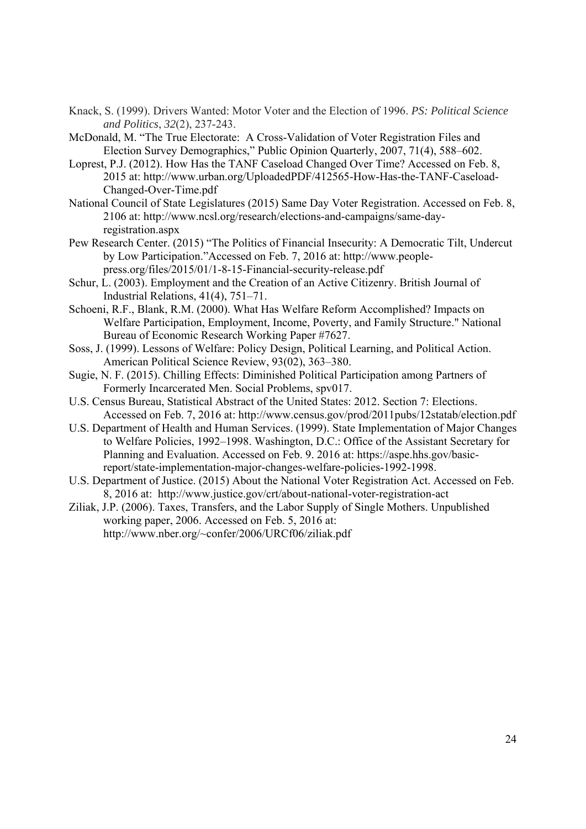- Knack, S. (1999). Drivers Wanted: Motor Voter and the Election of 1996. *PS: Political Science and Politics*, *32*(2), 237-243.
- McDonald, M. "The True Electorate: A Cross-Validation of Voter Registration Files and Election Survey Demographics," Public Opinion Quarterly, 2007, 71(4), 588–602.
- Loprest, P.J. (2012). How Has the TANF Caseload Changed Over Time? Accessed on Feb. 8, 2015 at: http://www.urban.org/UploadedPDF/412565-How-Has-the-TANF-Caseload-Changed-Over-Time.pdf
- National Council of State Legislatures (2015) Same Day Voter Registration. Accessed on Feb. 8, 2106 at: http://www.ncsl.org/research/elections-and-campaigns/same-dayregistration.aspx
- Pew Research Center. (2015) "The Politics of Financial Insecurity: A Democratic Tilt, Undercut by Low Participation."Accessed on Feb. 7, 2016 at: http://www.peoplepress.org/files/2015/01/1-8-15-Financial-security-release.pdf
- Schur, L. (2003). Employment and the Creation of an Active Citizenry. British Journal of Industrial Relations, 41(4), 751–71.
- Schoeni, R.F., Blank, R.M. (2000). What Has Welfare Reform Accomplished? Impacts on Welfare Participation, Employment, Income, Poverty, and Family Structure." National Bureau of Economic Research Working Paper #7627.
- Soss, J. (1999). Lessons of Welfare: Policy Design, Political Learning, and Political Action. American Political Science Review, 93(02), 363–380.
- Sugie, N. F. (2015). Chilling Effects: Diminished Political Participation among Partners of Formerly Incarcerated Men. Social Problems, spv017.
- U.S. Census Bureau, Statistical Abstract of the United States: 2012. Section 7: Elections. Accessed on Feb. 7, 2016 at: http://www.census.gov/prod/2011pubs/12statab/election.pdf
- U.S. Department of Health and Human Services. (1999). State Implementation of Major Changes to Welfare Policies, 1992–1998. Washington, D.C.: Office of the Assistant Secretary for Planning and Evaluation. Accessed on Feb. 9. 2016 at: https://aspe.hhs.gov/basicreport/state-implementation-major-changes-welfare-policies-1992-1998.
- U.S. Department of Justice. (2015) About the National Voter Registration Act. Accessed on Feb. 8, 2016 at: http://www.justice.gov/crt/about-national-voter-registration-act
- Ziliak, J.P. (2006). Taxes, Transfers, and the Labor Supply of Single Mothers. Unpublished working paper, 2006. Accessed on Feb. 5, 2016 at: http://www.nber.org/~confer/2006/URCf06/ziliak.pdf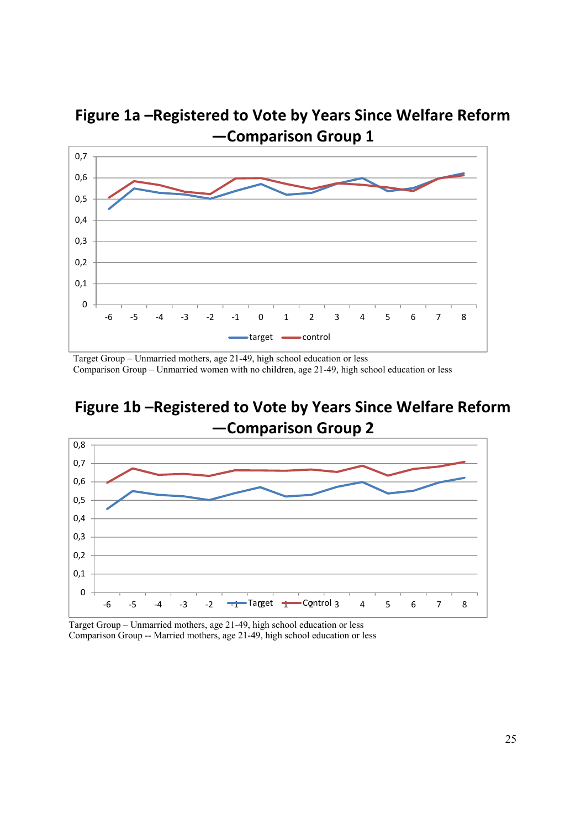

**Figure 1a –Registered to Vote by Years Since Welfare Reform —Comparison Group 1**

Target Group – Unmarried mothers, age 21-49, high school education or less Comparison Group – Unmarried women with no children, age 21-49, high school education or less





Target Group – Unmarried mothers, age 21-49, high school education or less Comparison Group -- Married mothers, age 21-49, high school education or less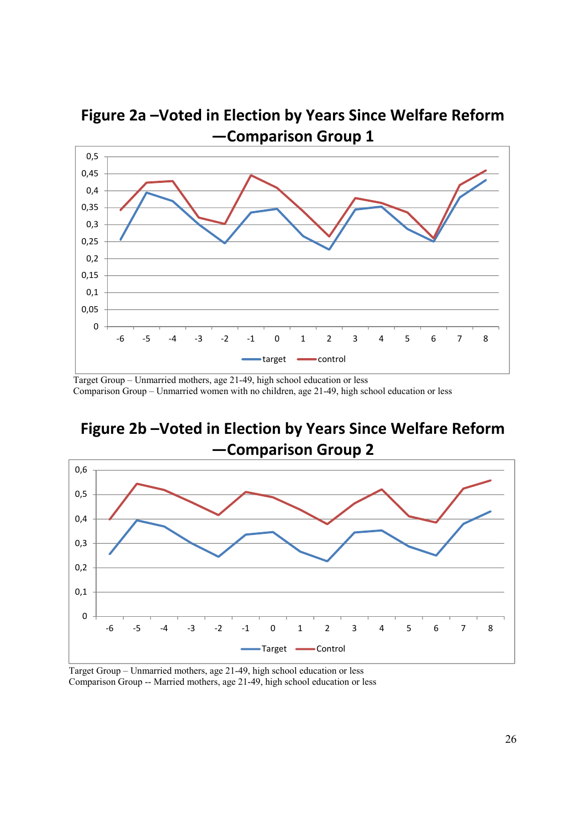

**Figure 2a –Voted in Election by Years Since Welfare Reform —Comparison Group 1**

Target Group – Unmarried mothers, age 21-49, high school education or less Comparison Group – Unmarried women with no children, age 21-49, high school education or less



**Figure 2b –Voted in Election by Years Since Welfare Reform**

Target Group – Unmarried mothers, age 21-49, high school education or less Comparison Group -- Married mothers, age 21-49, high school education or less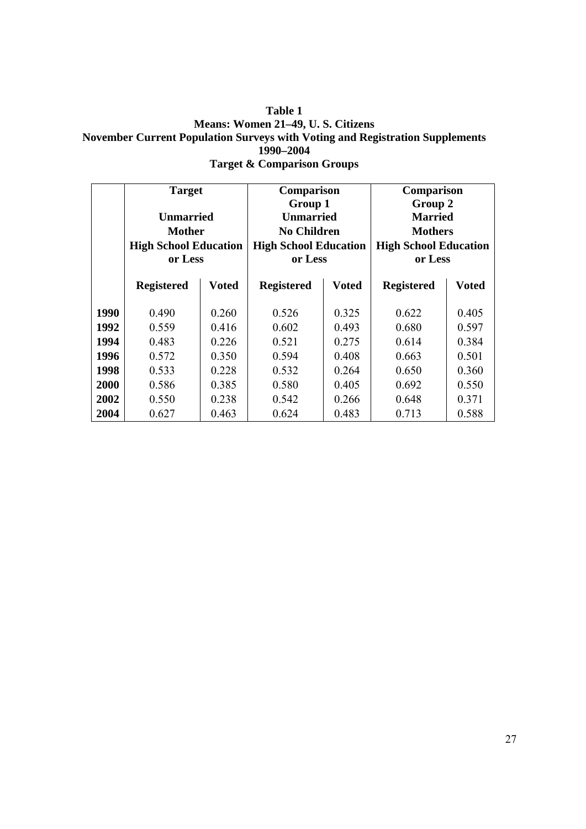#### **Table 1 Means: Women 21–49, U. S. Citizens November Current Population Surveys with Voting and Registration Supplements 1990–2004 Target & Comparison Groups**

|      | <b>Target</b>                |       | <b>Comparison</b>            |              | <b>Comparison</b>            |              |  |
|------|------------------------------|-------|------------------------------|--------------|------------------------------|--------------|--|
|      |                              |       | Group 1                      |              | Group 2                      |              |  |
|      | <b>Unmarried</b>             |       | <b>Unmarried</b>             |              | <b>Married</b>               |              |  |
|      | <b>Mother</b>                |       | <b>No Children</b>           |              | <b>Mothers</b>               |              |  |
|      | <b>High School Education</b> |       | <b>High School Education</b> |              | <b>High School Education</b> |              |  |
|      | or Less                      |       | or Less                      |              | or Less                      |              |  |
|      |                              |       |                              |              |                              |              |  |
|      | <b>Registered</b>            | Voted | <b>Registered</b>            | <b>Voted</b> | <b>Registered</b>            | <b>Voted</b> |  |
| 1990 | 0.490                        | 0.260 | 0.526                        | 0.325        | 0.622                        | 0.405        |  |
| 1992 | 0.559                        | 0.416 | 0.602                        | 0.493        | 0.680                        | 0.597        |  |
| 1994 | 0.483                        | 0.226 | 0.521                        | 0.275        | 0.614                        | 0.384        |  |
| 1996 | 0.572                        | 0.350 | 0.594                        | 0.408        | 0.663                        | 0.501        |  |
| 1998 | 0.533                        | 0.228 | 0.532                        | 0.264        | 0.650                        | 0.360        |  |
| 2000 | 0.586                        | 0.385 | 0.580                        | 0.405        | 0.692                        | 0.550        |  |
| 2002 | 0.550                        | 0.238 | 0.542                        | 0.266        | 0.648                        | 0.371        |  |
| 2004 | 0.627                        | 0.463 | 0.624                        | 0.483        | 0.713                        | 0.588        |  |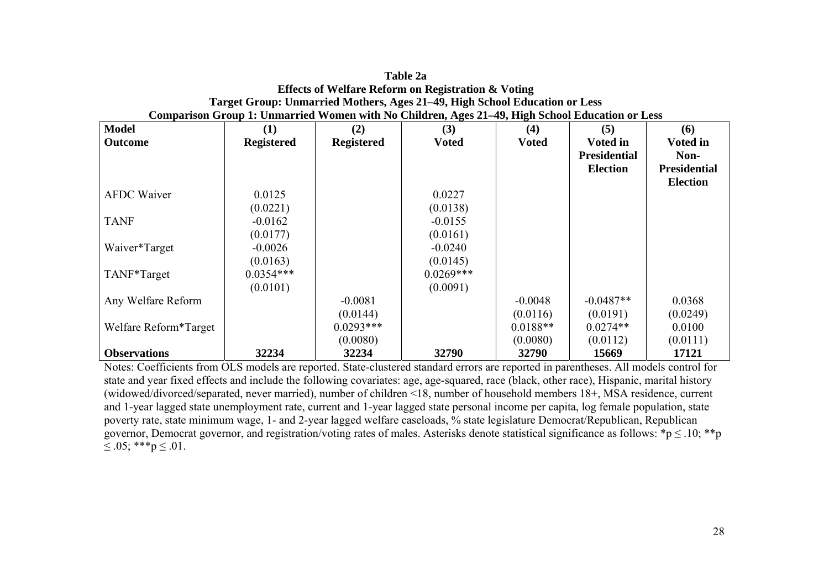|                          | Comparison Group 1: Unmarried Women with No Children, Ages 21–49, High School Education or Less |                   |              |              |                     |                     |  |  |  |  |  |
|--------------------------|-------------------------------------------------------------------------------------------------|-------------------|--------------|--------------|---------------------|---------------------|--|--|--|--|--|
| <b>Model</b>             | (1)                                                                                             | (2)               | (3)          | (4)          | (5)                 | (6)                 |  |  |  |  |  |
| <b>Outcome</b>           | <b>Registered</b>                                                                               | <b>Registered</b> | <b>Voted</b> | <b>Voted</b> | <b>Voted in</b>     | <b>Voted in</b>     |  |  |  |  |  |
|                          |                                                                                                 |                   |              |              | <b>Presidential</b> | Non-                |  |  |  |  |  |
|                          |                                                                                                 |                   |              |              | <b>Election</b>     | <b>Presidential</b> |  |  |  |  |  |
|                          |                                                                                                 |                   |              |              |                     | <b>Election</b>     |  |  |  |  |  |
| <b>AFDC</b> Waiver       | 0.0125                                                                                          |                   | 0.0227       |              |                     |                     |  |  |  |  |  |
|                          | (0.0221)                                                                                        |                   | (0.0138)     |              |                     |                     |  |  |  |  |  |
| <b>TANF</b>              | $-0.0162$                                                                                       |                   | $-0.0155$    |              |                     |                     |  |  |  |  |  |
|                          | (0.0177)                                                                                        |                   | (0.0161)     |              |                     |                     |  |  |  |  |  |
| Waiver*Target            | $-0.0026$                                                                                       |                   | $-0.0240$    |              |                     |                     |  |  |  |  |  |
|                          | (0.0163)                                                                                        |                   | (0.0145)     |              |                     |                     |  |  |  |  |  |
| TANF <sup>*</sup> Target | $0.0354***$                                                                                     |                   | $0.0269***$  |              |                     |                     |  |  |  |  |  |
|                          | (0.0101)                                                                                        |                   | (0.0091)     |              |                     |                     |  |  |  |  |  |
| Any Welfare Reform       |                                                                                                 | $-0.0081$         |              | $-0.0048$    | $-0.0487**$         | 0.0368              |  |  |  |  |  |
|                          |                                                                                                 | (0.0144)          |              | (0.0116)     | (0.0191)            | (0.0249)            |  |  |  |  |  |
| Welfare Reform*Target    |                                                                                                 | $0.0293***$       |              | $0.0188**$   | $0.0274**$          | 0.0100              |  |  |  |  |  |
|                          |                                                                                                 | (0.0080)          |              | (0.0080)     | (0.0112)            | (0.0111)            |  |  |  |  |  |
| <b>Observations</b>      | 32234                                                                                           | 32234             | 32790        | 32790        | 15669               | 17121               |  |  |  |  |  |

| Table 2a                                                                                     |
|----------------------------------------------------------------------------------------------|
| <b>Effects of Welfare Reform on Registration &amp; Voting</b>                                |
| Target Group: Unmarried Mothers, Ages 21–49, High School Education or Less                   |
| nparison Group 1: Unmarried Women with No Children, Ages 21–49, High School Education or Les |

Notes: Coefficients from OLS models are reported. State-clustered standard errors are reported in parentheses. All models control for state and year fixed effects and include the following covariates: age, age-squared, race (black, other race), Hispanic, marital history (widowed/divorced/separated, never married), number of children <18, number of household members 18+, MSA residence, current and 1-year lagged state unemployment rate, current and 1-year lagged state personal income per capita, log female population, state poverty rate, state minimum wage, 1- and 2-year lagged welfare caseloads, % state legislature Democrat/Republican, Republican governor, Democrat governor, and registration/voting rates of males. Asterisks denote statistical significance as follows: \*p  $\leq$  10; \*\*p  $\leq .05$ ; \*\*\*p  $\leq .01$ .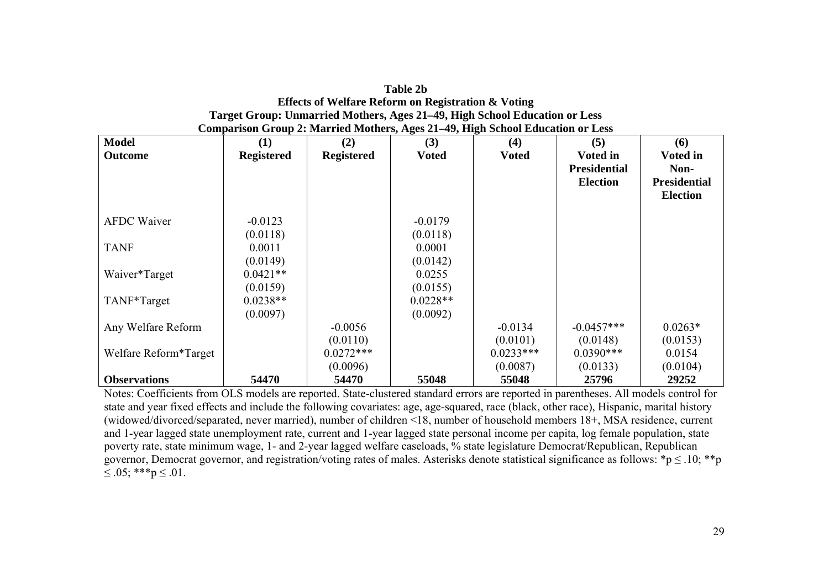| <b>Table 2b</b>                                                                |
|--------------------------------------------------------------------------------|
| Effects of Welfare Reform on Registration & Voting                             |
| Target Group: Unmarried Mothers, Ages 21–49, High School Education or Less     |
| Comparison Group 2: Married Mothers, Ages 21–49, High School Education or Less |

| <b>Model</b>             | (1)               | (2)               | (3)          | ▱<br>(4)     | (5)                 | (6)                 |
|--------------------------|-------------------|-------------------|--------------|--------------|---------------------|---------------------|
| <b>Outcome</b>           | <b>Registered</b> | <b>Registered</b> | <b>Voted</b> | <b>Voted</b> | <b>Voted in</b>     | <b>Voted in</b>     |
|                          |                   |                   |              |              | <b>Presidential</b> | Non-                |
|                          |                   |                   |              |              | <b>Election</b>     | <b>Presidential</b> |
|                          |                   |                   |              |              |                     | <b>Election</b>     |
|                          |                   |                   |              |              |                     |                     |
| <b>AFDC Waiver</b>       | $-0.0123$         |                   | $-0.0179$    |              |                     |                     |
|                          | (0.0118)          |                   | (0.0118)     |              |                     |                     |
| <b>TANF</b>              | 0.0011            |                   | 0.0001       |              |                     |                     |
|                          | (0.0149)          |                   | (0.0142)     |              |                     |                     |
| Waiver*Target            | $0.0421**$        |                   | 0.0255       |              |                     |                     |
|                          | (0.0159)          |                   | (0.0155)     |              |                     |                     |
| TANF <sup>*</sup> Target | $0.0238**$        |                   | $0.0228**$   |              |                     |                     |
|                          | (0.0097)          |                   | (0.0092)     |              |                     |                     |
| Any Welfare Reform       |                   | $-0.0056$         |              | $-0.0134$    | $-0.0457***$        | $0.0263*$           |
|                          |                   | (0.0110)          |              | (0.0101)     | (0.0148)            | (0.0153)            |
| Welfare Reform*Target    |                   | $0.0272***$       |              | $0.0233***$  | $0.0390***$         | 0.0154              |
|                          |                   | (0.0096)          |              | (0.0087)     | (0.0133)            | (0.0104)            |
| <b>Observations</b>      | 54470             | 54470             | 55048        | 55048        | 25796               | 29252               |

Notes: Coefficients from OLS models are reported. State-clustered standard errors are reported in parentheses. All models control for state and year fixed effects and include the following covariates: age, age-squared, race (black, other race), Hispanic, marital history (widowed/divorced/separated, never married), number of children <18, number of household members 18+, MSA residence, current and 1-year lagged state unemployment rate, current and 1-year lagged state personal income per capita, log female population, state poverty rate, state minimum wage, 1- and 2-year lagged welfare caseloads, % state legislature Democrat/Republican, Republican governor, Democrat governor, and registration/voting rates of males. Asterisks denote statistical significance as follows: \*p  $\leq 0.10$ ; \*\*p  $\leq .05$ ; \*\*\*p  $\leq .01$ .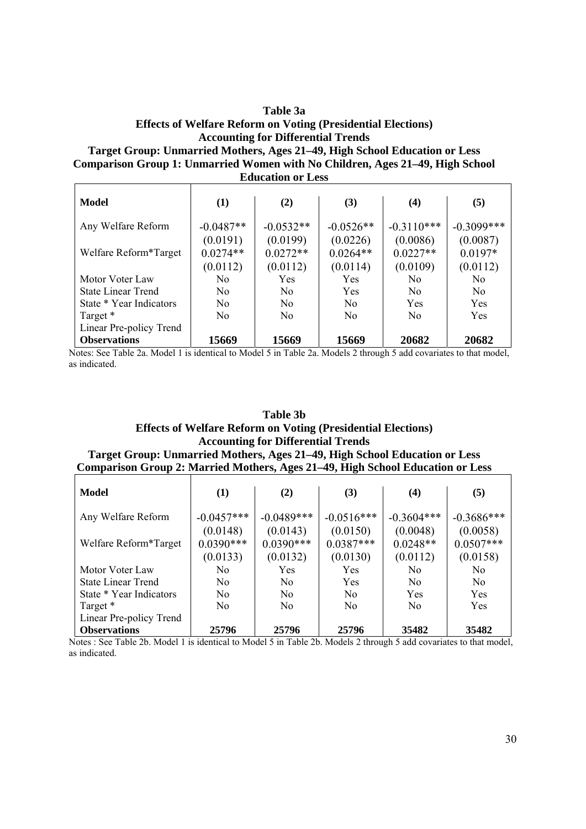#### **Table 3a Effects of Welfare Reform on Voting (Presidential Elections) Accounting for Differential Trends Target Group: Unmarried Mothers, Ages 21–49, High School Education or Less Comparison Group 1: Unmarried Women with No Children, Ages 21–49, High School Education or Less**

|                           |             | ечисанон от есля |                |                |                |
|---------------------------|-------------|------------------|----------------|----------------|----------------|
| Model                     | (1)         | (2)              | (3)            | (4)            | (5)            |
| Any Welfare Reform        | $-0.0487**$ | $-0.0532**$      | $-0.0526**$    | $-0.3110***$   | $-0.3099$ ***  |
|                           | (0.0191)    | (0.0199)         | (0.0226)       | (0.0086)       | (0.0087)       |
| Welfare Reform*Target     | $0.0274**$  | $0.0272**$       | $0.0264**$     | $0.0227**$     | $0.0197*$      |
|                           | (0.0112)    | (0.0112)         | (0.0114)       | (0.0109)       | (0.0112)       |
| Motor Voter Law           | No.         | Yes              | Yes            | N <sub>0</sub> | N <sub>0</sub> |
| <b>State Linear Trend</b> | No.         | N <sub>0</sub>   | Yes            | N <sub>0</sub> | N <sub>0</sub> |
| State * Year Indicators   | No.         | N <sub>0</sub>   | No.            | Yes            | Yes            |
| Target *                  | No          | N <sub>0</sub>   | N <sub>0</sub> | N <sub>0</sub> | Yes            |
| Linear Pre-policy Trend   |             |                  |                |                |                |
| <b>Observations</b>       | 15669       | 15669            | 15669          | 20682          | 20682          |

Notes: See Table 2a. Model 1 is identical to Model 5 in Table 2a. Models 2 through 5 add covariates to that model, as indicated.

#### **Table 3b Effects of Welfare Reform on Voting (Presidential Elections) Accounting for Differential Trends Target Group: Unmarried Mothers, Ages 21–49, High School Education or Less**

# **Comparison Group 2: Married Mothers, Ages 21–49, High School Education or Less**

| Model                     | (1)            | (2)            | (3)            | $\boldsymbol{(4)}$ | (5)            |
|---------------------------|----------------|----------------|----------------|--------------------|----------------|
| Any Welfare Reform        | $-0.0457***$   | $-0.0489***$   | $-0.0516***$   | $-0.3604***$       | $-0.3686***$   |
|                           | (0.0148)       | (0.0143)       | (0.0150)       | (0.0048)           | (0.0058)       |
| Welfare Reform*Target     | $0.0390***$    | $0.0390***$    | $0.0387***$    | $0.0248**$         | $0.0507***$    |
|                           | (0.0133)       | (0.0132)       | (0.0130)       | (0.0112)           | (0.0158)       |
| Motor Voter Law           | No             | Yes            | Yes            | N <sub>0</sub>     | N <sub>0</sub> |
| <b>State Linear Trend</b> | N <sub>0</sub> | N <sub>0</sub> | Yes            | N <sub>0</sub>     | N <sub>0</sub> |
| State * Year Indicators   | N <sub>0</sub> | N <sub>0</sub> | N <sub>0</sub> | Yes                | Yes            |
| Target *                  | N <sub>0</sub> | N <sub>0</sub> | N <sub>0</sub> | N <sub>0</sub>     | Yes            |
| Linear Pre-policy Trend   |                |                |                |                    |                |
| <b>Observations</b>       | 25796          | 25796          | 25796          | 35482              | 35482          |

Notes : See Table 2b. Model 1 is identical to Model 5 in Table 2b. Models 2 through 5 add covariates to that model, as indicated.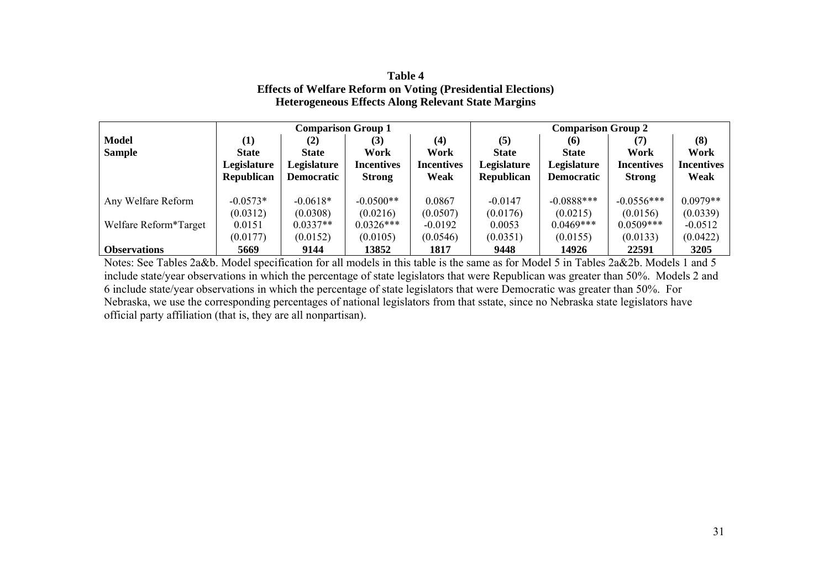#### **Table 4 Effects of Welfare Reform on Voting (Presidential Elections) Heterogeneous Effects Along Relevant State Margins**

|                       | <b>Comparison Group 1</b> |                   |               |                   | <b>Comparison Group 2</b> |                   |                   |                   |  |
|-----------------------|---------------------------|-------------------|---------------|-------------------|---------------------------|-------------------|-------------------|-------------------|--|
| <b>Model</b>          | (1)                       | $\rm(2)$          | (3)           | (4)               | (5)                       | <b>(6)</b>        | (7)               | (8)               |  |
| <b>Sample</b>         | <b>State</b>              | <b>State</b>      | Work          | Work              | <b>State</b>              | <b>State</b>      | Work              | Work              |  |
|                       | Legislature               | Legislature       | Incentives    | <b>Incentives</b> | Legislature               | Legislature       | <b>Incentives</b> | <b>Incentives</b> |  |
|                       | <b>Republican</b>         | <b>Democratic</b> | <b>Strong</b> | Weak              | <b>Republican</b>         | <b>Democratic</b> | <b>Strong</b>     | Weak              |  |
|                       |                           |                   |               |                   |                           |                   |                   |                   |  |
| Any Welfare Reform    | $-0.0573*$                | $-0.0618*$        | $-0.0500**$   | 0.0867            | $-0.0147$                 | $-0.0888***$      | $-0.0556***$      | $0.0979**$        |  |
|                       | (0.0312)                  | (0.0308)          | (0.0216)      | (0.0507)          | (0.0176)                  | (0.0215)          | (0.0156)          | (0.0339)          |  |
| Welfare Reform*Target | 0.0151                    | $0.0337**$        | $0.0326***$   | $-0.0192$         | 0.0053                    | $0.0469***$       | $0.0509***$       | $-0.0512$         |  |
|                       | (0.0177)                  | (0.0152)          | (0.0105)      | (0.0546)          | (0.0351)                  | (0.0155)          | (0.0133)          | (0.0422)          |  |
| <b>Observations</b>   | 5669                      | 9144              | 13852         | 1817              | 9448                      | 14926             | 22591             | 3205              |  |

Notes: See Tables 2a&b. Model specification for all models in this table is the same as for Model 5 in Tables 2a&2b. Models 1 and 5 include state/year observations in which the percentage of state legislators that were Republican was greater than 50%. Models 2 and 6 include state/year observations in which the percentage of state legislators that were Democratic was greater than 50%. For Nebraska, we use the corresponding percentages of national legislators from that sstate, since no Nebraska state legislators have official party affiliation (that is, they are all nonpartisan).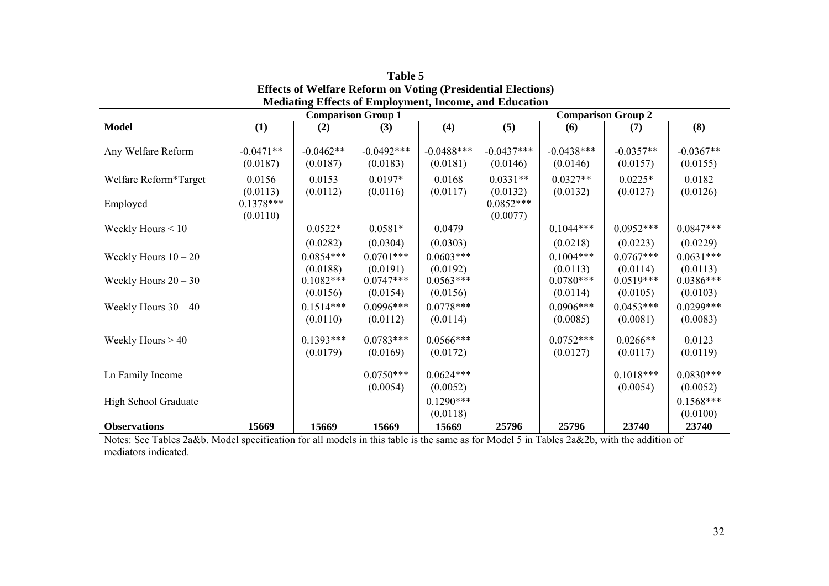|                        | <b>Comparison Group 1</b> |                                     |                                     |                                     | <b>Comparison Group 2</b> |                                     |                                     |                                     |  |
|------------------------|---------------------------|-------------------------------------|-------------------------------------|-------------------------------------|---------------------------|-------------------------------------|-------------------------------------|-------------------------------------|--|
| <b>Model</b>           | (1)                       | (2)                                 | (3)                                 | (4)                                 | (5)                       | (6)                                 | (7)                                 | (8)                                 |  |
| Any Welfare Reform     | $-0.0471**$<br>(0.0187)   | $-0.0462**$<br>(0.0187)             | $-0.0492***$<br>(0.0183)            | $-0.0488***$<br>(0.0181)            | $-0.0437***$<br>(0.0146)  | $-0.0438***$<br>(0.0146)            | $-0.0357**$<br>(0.0157)             | $-0.0367**$<br>(0.0155)             |  |
| Welfare Reform*Target  | 0.0156<br>(0.0113)        | 0.0153<br>(0.0112)                  | $0.0197*$<br>(0.0116)               | 0.0168<br>(0.0117)                  | $0.0331**$<br>(0.0132)    | $0.0327**$<br>(0.0132)              | $0.0225*$<br>(0.0127)               | 0.0182<br>(0.0126)                  |  |
| Employed               | $0.1378***$<br>(0.0110)   |                                     |                                     |                                     | $0.0852***$<br>(0.0077)   |                                     |                                     |                                     |  |
| Weekly Hours $< 10$    |                           | $0.0522*$                           | $0.0581*$                           | 0.0479                              |                           | $0.1044***$                         | $0.0952***$                         | $0.0847***$                         |  |
|                        |                           | (0.0282)                            | (0.0304)                            | (0.0303)                            |                           | (0.0218)                            | (0.0223)                            | (0.0229)                            |  |
| Weekly Hours $10 - 20$ |                           | $0.0854***$                         | $0.0701***$                         | $0.0603***$                         |                           | $0.1004***$                         | $0.0767***$                         | $0.0631***$                         |  |
| Weekly Hours $20 - 30$ |                           | (0.0188)<br>$0.1082***$<br>(0.0156) | (0.0191)<br>$0.0747***$<br>(0.0154) | (0.0192)<br>$0.0563***$<br>(0.0156) |                           | (0.0113)<br>$0.0780***$<br>(0.0114) | (0.0114)<br>$0.0519***$<br>(0.0105) | (0.0113)<br>$0.0386***$<br>(0.0103) |  |
| Weekly Hours $30 - 40$ |                           | $0.1514***$<br>(0.0110)             | $0.0996***$<br>(0.0112)             | $0.0778***$<br>(0.0114)             |                           | $0.0906***$<br>(0.0085)             | $0.0453***$<br>(0.0081)             | $0.0299***$<br>(0.0083)             |  |
| Weekly Hours $> 40$    |                           | $0.1393***$<br>(0.0179)             | $0.0783***$<br>(0.0169)             | $0.0566***$<br>(0.0172)             |                           | $0.0752***$<br>(0.0127)             | $0.0266**$<br>(0.0117)              | 0.0123<br>(0.0119)                  |  |
| Ln Family Income       |                           |                                     | $0.0750***$<br>(0.0054)             | $0.0624***$<br>(0.0052)             |                           |                                     | $0.1018***$<br>(0.0054)             | $0.0830***$<br>(0.0052)             |  |
| High School Graduate   |                           |                                     |                                     | $0.1290***$<br>(0.0118)             |                           |                                     |                                     | $0.1568***$<br>(0.0100)             |  |
| <b>Observations</b>    | 15669                     | 15669                               | 15669                               | 15669                               | 25796                     | 25796                               | 23740                               | 23740                               |  |

**Table 5 Effects of Welfare Reform on Voting (Presidential Elections) Mediating Effects of Employment, Income, and Education** 

Notes: See Tables 2a&b. Model specification for all models in this table is the same as for Model 5 in Tables 2a&2b, with the addition of mediators indicated.